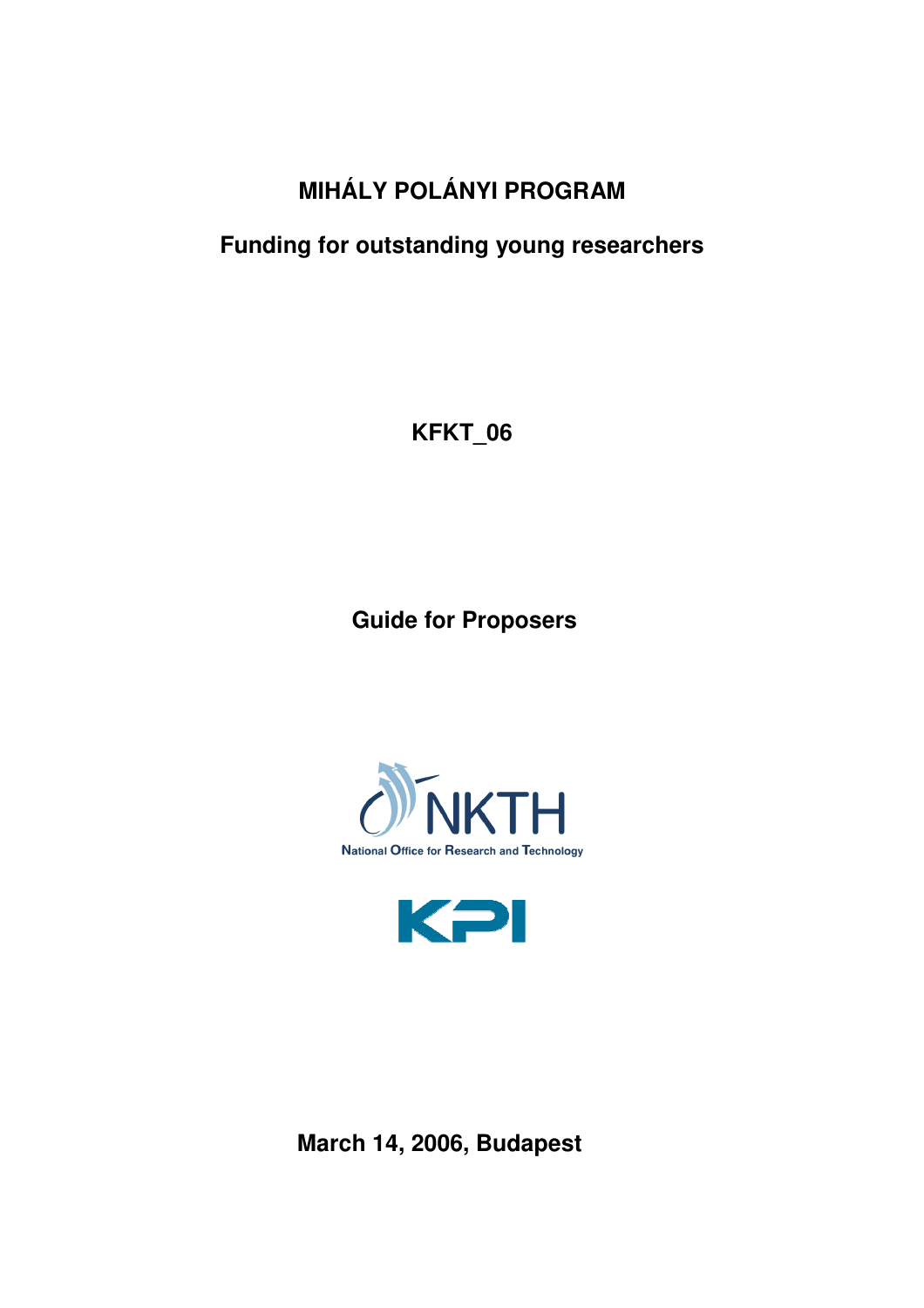# **MIHÁLY POLÁNYI PROGRAM**

# **Funding for outstanding young researchers**

**KFKT\_06**

**Guide for Proposers** 





**March 14, 2006, Budapest**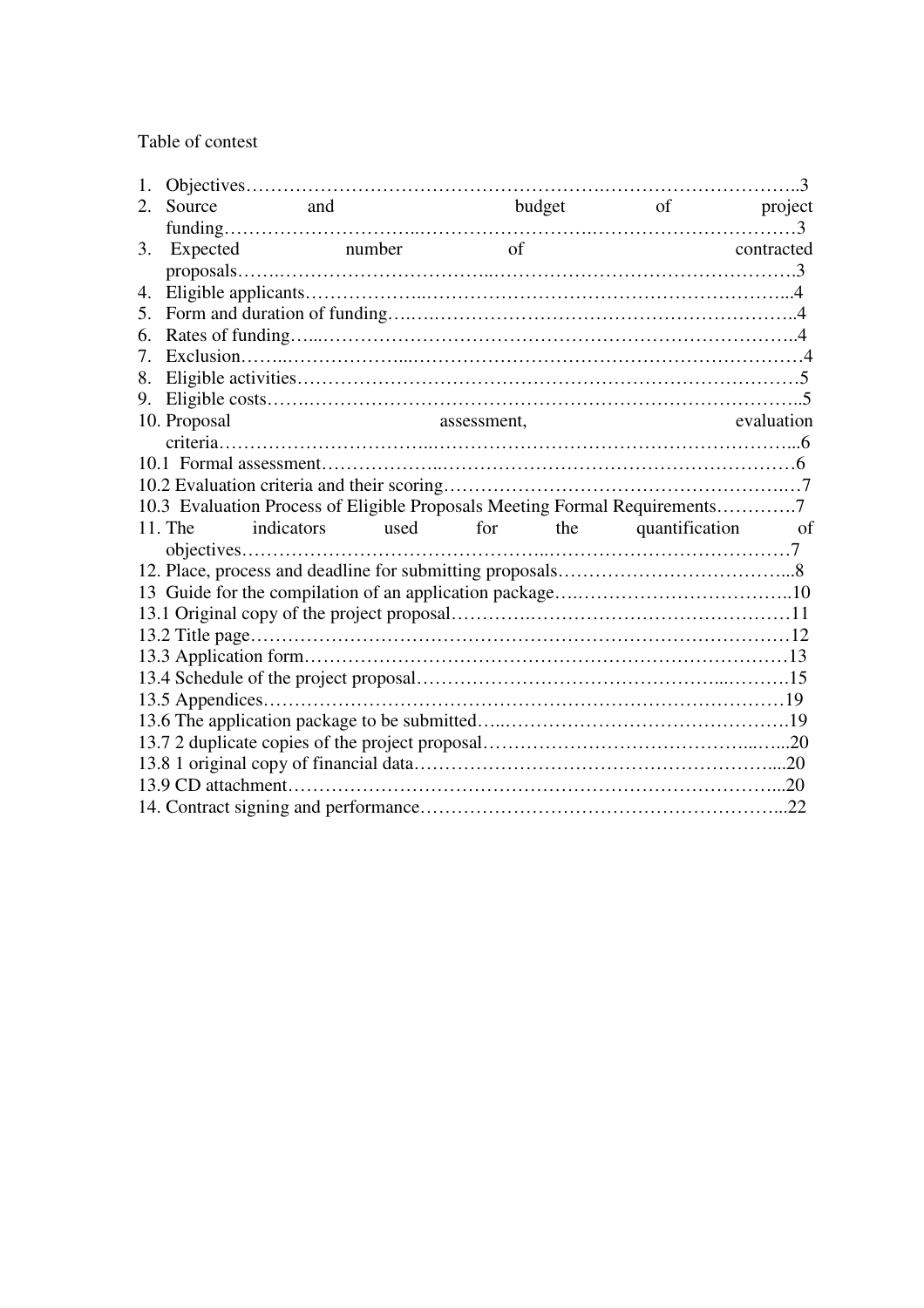Table of contest

| 1.          |                                                                            |                                                                                                                                                                                                                                |             |          |        |                             |            |
|-------------|----------------------------------------------------------------------------|--------------------------------------------------------------------------------------------------------------------------------------------------------------------------------------------------------------------------------|-------------|----------|--------|-----------------------------|------------|
| $2_{\cdot}$ | Source                                                                     | and and the same of the same of the same of the same of the same of the same of the same of the same of the same of the same of the same of the same of the same of the same of the same of the same of the same of the same o |             |          | budget |                             | of project |
|             |                                                                            |                                                                                                                                                                                                                                |             |          |        |                             |            |
| 3.          | Expected                                                                   | number                                                                                                                                                                                                                         |             | $\sigma$ |        |                             | contracted |
|             |                                                                            |                                                                                                                                                                                                                                |             |          |        |                             |            |
| 4.          |                                                                            |                                                                                                                                                                                                                                |             |          |        |                             |            |
| 5.          |                                                                            |                                                                                                                                                                                                                                |             |          |        |                             |            |
| 6.          |                                                                            |                                                                                                                                                                                                                                |             |          |        |                             |            |
| 7.          |                                                                            |                                                                                                                                                                                                                                |             |          |        |                             |            |
| 8.          |                                                                            |                                                                                                                                                                                                                                |             |          |        |                             |            |
| 9.          |                                                                            |                                                                                                                                                                                                                                |             |          |        |                             |            |
|             | 10. Proposal                                                               |                                                                                                                                                                                                                                | assessment, |          |        |                             | evaluation |
|             |                                                                            |                                                                                                                                                                                                                                |             |          |        |                             |            |
|             |                                                                            |                                                                                                                                                                                                                                |             |          |        |                             |            |
|             |                                                                            |                                                                                                                                                                                                                                |             |          |        |                             |            |
|             | 10.3 Evaluation Process of Eligible Proposals Meeting Formal Requirements7 |                                                                                                                                                                                                                                |             |          |        |                             |            |
|             | 11. The                                                                    | indicators                                                                                                                                                                                                                     |             |          |        | used for the quantification | of         |
|             |                                                                            |                                                                                                                                                                                                                                |             |          |        |                             |            |
|             |                                                                            |                                                                                                                                                                                                                                |             |          |        |                             |            |
|             |                                                                            |                                                                                                                                                                                                                                |             |          |        |                             |            |
|             |                                                                            |                                                                                                                                                                                                                                |             |          |        |                             |            |
|             |                                                                            |                                                                                                                                                                                                                                |             |          |        |                             |            |
|             |                                                                            |                                                                                                                                                                                                                                |             |          |        |                             |            |
|             |                                                                            |                                                                                                                                                                                                                                |             |          |        |                             |            |
|             |                                                                            |                                                                                                                                                                                                                                |             |          |        |                             |            |
|             |                                                                            |                                                                                                                                                                                                                                |             |          |        |                             |            |
|             |                                                                            |                                                                                                                                                                                                                                |             |          |        |                             |            |
|             |                                                                            |                                                                                                                                                                                                                                |             |          |        |                             |            |
|             |                                                                            |                                                                                                                                                                                                                                |             |          |        |                             |            |
|             |                                                                            |                                                                                                                                                                                                                                |             |          |        |                             |            |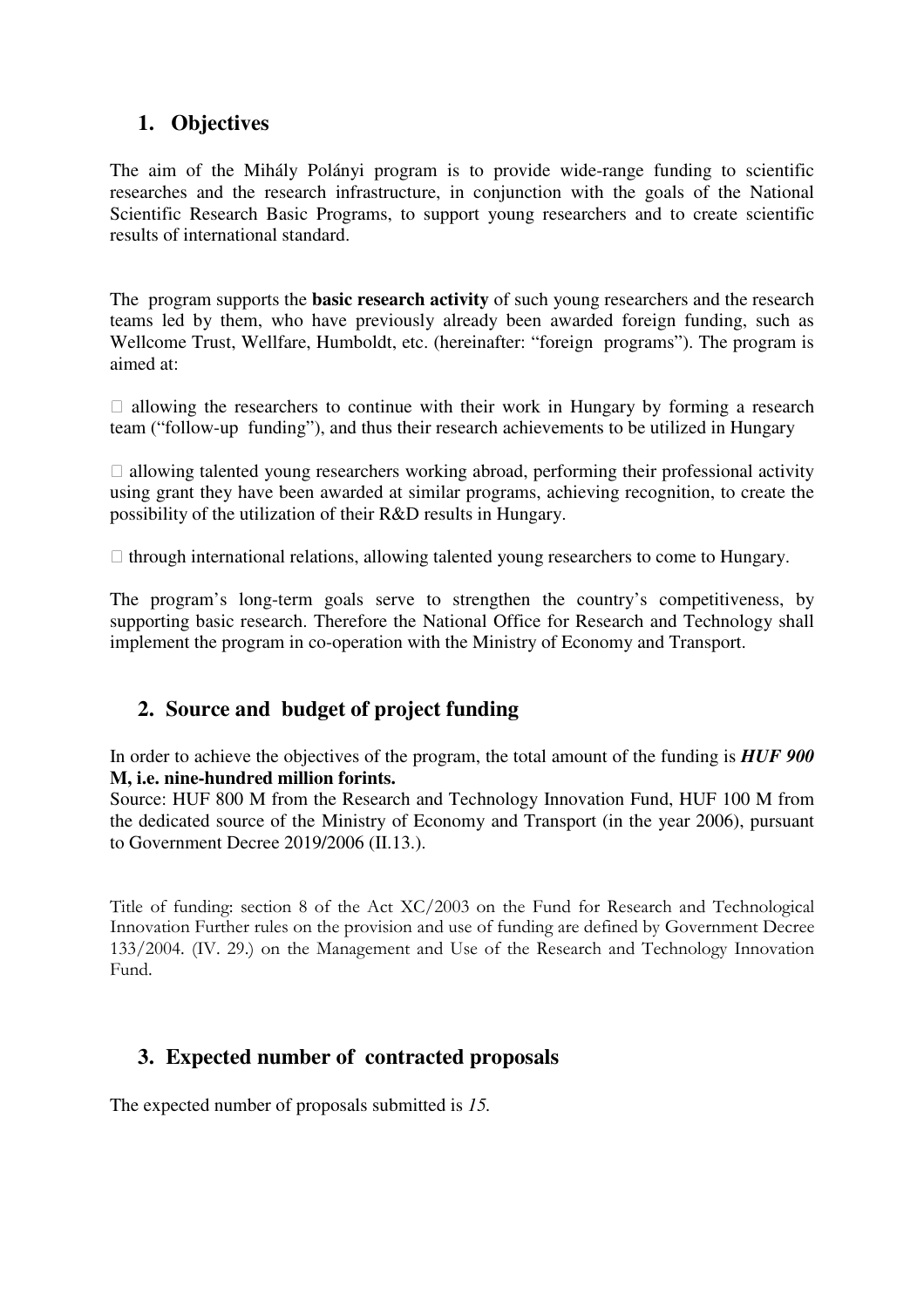# **1. Objectives**

The aim of the Mihály Polányi program is to provide wide-range funding to scientific researches and the research infrastructure, in conjunction with the goals of the National Scientific Research Basic Programs, to support young researchers and to create scientific results of international standard.

The program supports the **basic research activity** of such young researchers and the research teams led by them, who have previously already been awarded foreign funding, such as Wellcome Trust, Wellfare, Humboldt, etc. (hereinafter: "foreign programs"). The program is aimed at:

 $\Box$  allowing the researchers to continue with their work in Hungary by forming a research team ("follow-up funding"), and thus their research achievements to be utilized in Hungary

 $\Box$  allowing talented young researchers working abroad, performing their professional activity using grant they have been awarded at similar programs, achieving recognition, to create the possibility of the utilization of their R&D results in Hungary.

 $\Box$  through international relations, allowing talented young researchers to come to Hungary.

The program's long-term goals serve to strengthen the country's competitiveness, by supporting basic research. Therefore the National Office for Research and Technology shall implement the program in co-operation with the Ministry of Economy and Transport.

### **2. Source and budget of project funding**

In order to achieve the objectives of the program, the total amount of the funding is *HUF 900*  **M, i.e. nine-hundred million forints.** 

Source: HUF 800 M from the Research and Technology Innovation Fund, HUF 100 M from the dedicated source of the Ministry of Economy and Transport (in the year 2006), pursuant to Government Decree 2019/2006 (II.13.).

Title of funding: section 8 of the Act XC/2003 on the Fund for Research and Technological Innovation Further rules on the provision and use of funding are defined by Government Decree 133/2004. (IV. 29.) on the Management and Use of the Research and Technology Innovation Fund.

### **3. Expected number of contracted proposals**

The expected number of proposals submitted is *15.*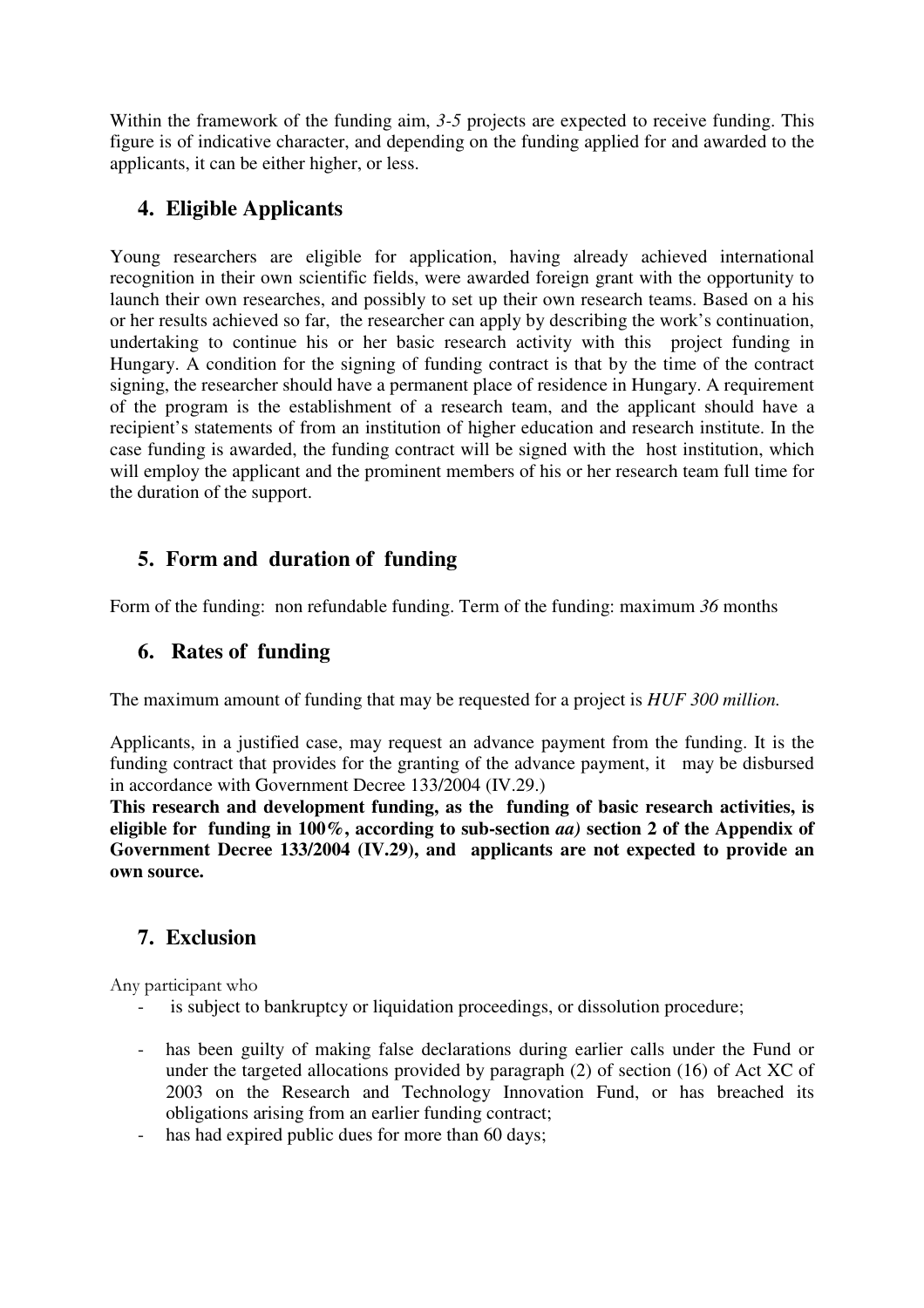Within the framework of the funding aim, 3-5 projects are expected to receive funding. This figure is of indicative character, and depending on the funding applied for and awarded to the applicants, it can be either higher, or less.

### **4. Eligible Applicants**

Young researchers are eligible for application, having already achieved international recognition in their own scientific fields, were awarded foreign grant with the opportunity to launch their own researches, and possibly to set up their own research teams. Based on a his or her results achieved so far, the researcher can apply by describing the work's continuation, undertaking to continue his or her basic research activity with this project funding in Hungary. A condition for the signing of funding contract is that by the time of the contract signing, the researcher should have a permanent place of residence in Hungary. A requirement of the program is the establishment of a research team, and the applicant should have a recipient's statements of from an institution of higher education and research institute. In the case funding is awarded, the funding contract will be signed with the host institution, which will employ the applicant and the prominent members of his or her research team full time for the duration of the support.

# **5. Form and duration of funding**

Form of the funding: non refundable funding. Term of the funding: maximum *36* months

# **6. Rates of funding**

The maximum amount of funding that may be requested for a project is *HUF 300 million.* 

Applicants, in a justified case, may request an advance payment from the funding. It is the funding contract that provides for the granting of the advance payment, it may be disbursed in accordance with Government Decree 133/2004 (IV.29.)

**This research and development funding, as the funding of basic research activities, is eligible for funding in 100%, according to sub-section** *aa)* **section 2 of the Appendix of Government Decree 133/2004 (IV.29), and applicants are not expected to provide an own source.** 

# **7. Exclusion**

Any participant who

- is subject to bankruptcy or liquidation proceedings, or dissolution procedure;
- has been guilty of making false declarations during earlier calls under the Fund or under the targeted allocations provided by paragraph (2) of section (16) of Act XC of 2003 on the Research and Technology Innovation Fund, or has breached its obligations arising from an earlier funding contract;
- has had expired public dues for more than 60 days;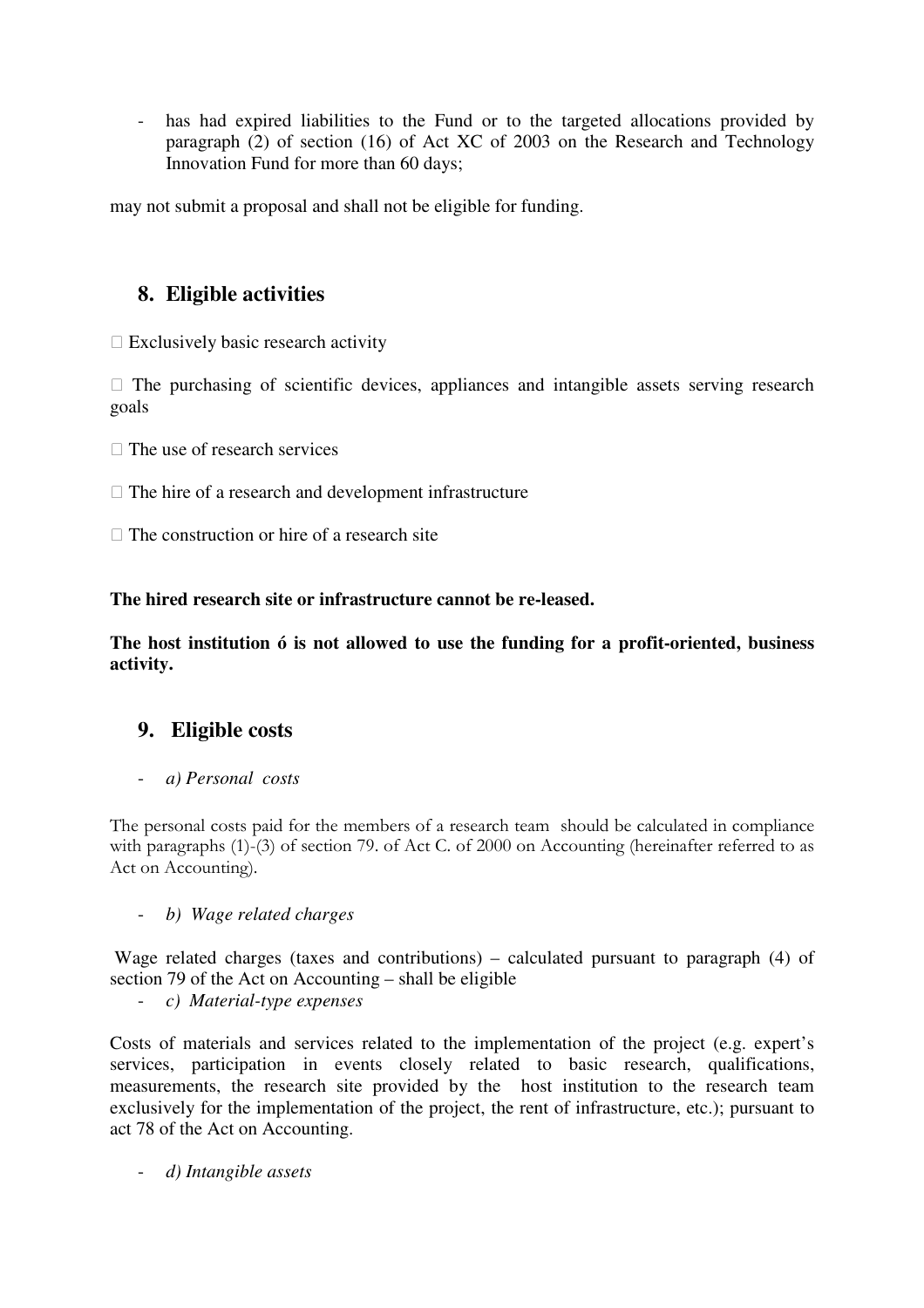- has had expired liabilities to the Fund or to the targeted allocations provided by paragraph (2) of section (16) of Act XC of 2003 on the Research and Technology Innovation Fund for more than 60 days;

may not submit a proposal and shall not be eligible for funding.

# **8. Eligible activities**

 $\Box$  Exclusively basic research activity

 $\Box$  The purchasing of scientific devices, appliances and intangible assets serving research goals

 $\Box$  The use of research services

- $\Box$  The hire of a research and development infrastructure
- $\Box$  The construction or hire of a research site

**The hired research site or infrastructure cannot be re-leased.** 

**The host institution ó is not allowed to use the funding for a profit-oriented, business activity.** 

### **9. Eligible costs**

- *a) Personal costs* 

The personal costs paid for the members of a research team should be calculated in compliance with paragraphs (1)-(3) of section 79. of Act C. of 2000 on Accounting (hereinafter referred to as Act on Accounting).

- *b) Wage related charges* 

 Wage related charges (taxes and contributions) – calculated pursuant to paragraph (4) of section 79 of the Act on Accounting – shall be eligible

- *c) Material-type expenses* 

Costs of materials and services related to the implementation of the project (e.g. expert's services, participation in events closely related to basic research, qualifications, measurements, the research site provided by the host institution to the research team exclusively for the implementation of the project, the rent of infrastructure, etc.); pursuant to act 78 of the Act on Accounting.

- *d) Intangible assets*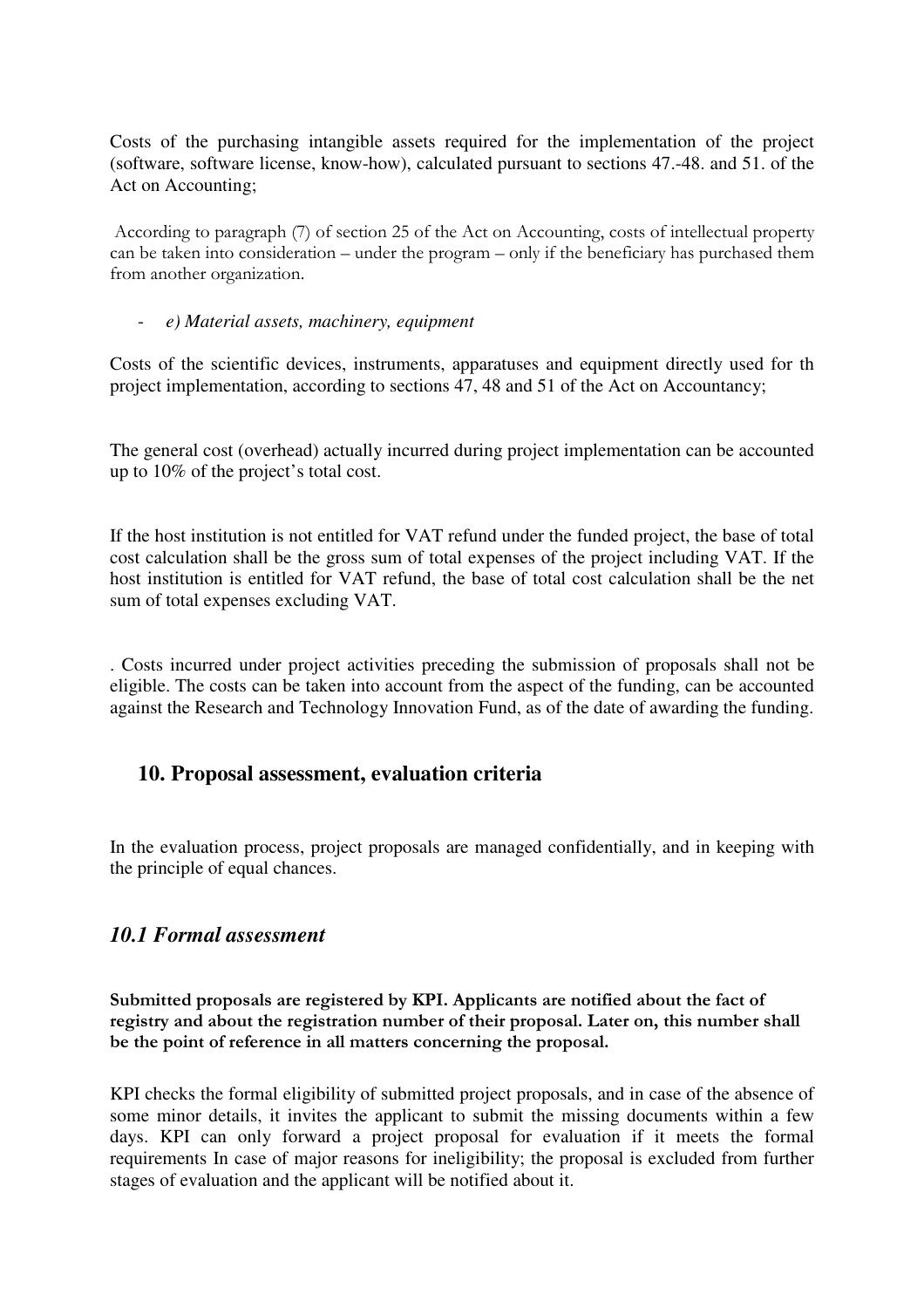Costs of the purchasing intangible assets required for the implementation of the project (software, software license, know-how), calculated pursuant to sections 47.-48. and 51. of the Act on Accounting;

 According to paragraph (7) of section 25 of the Act on Accounting, costs of intellectual property can be taken into consideration – under the program – only if the beneficiary has purchased them from another organization.

#### - *e) Material assets, machinery, equipment*

Costs of the scientific devices, instruments, apparatuses and equipment directly used for th project implementation, according to sections 47, 48 and 51 of the Act on Accountancy;

The general cost (overhead) actually incurred during project implementation can be accounted up to 10% of the project's total cost.

If the host institution is not entitled for VAT refund under the funded project, the base of total cost calculation shall be the gross sum of total expenses of the project including VAT. If the host institution is entitled for VAT refund, the base of total cost calculation shall be the net sum of total expenses excluding VAT.

. Costs incurred under project activities preceding the submission of proposals shall not be eligible. The costs can be taken into account from the aspect of the funding, can be accounted against the Research and Technology Innovation Fund, as of the date of awarding the funding.

### **10. Proposal assessment, evaluation criteria**

In the evaluation process, project proposals are managed confidentially, and in keeping with the principle of equal chances.

### *10.1 Formal assessment*

Submitted proposals are registered by KPI. Applicants are notified about the fact of registry and about the registration number of their proposal. Later on, this number shall be the point of reference in all matters concerning the proposal.

KPI checks the formal eligibility of submitted project proposals, and in case of the absence of some minor details, it invites the applicant to submit the missing documents within a few days. KPI can only forward a project proposal for evaluation if it meets the formal requirements In case of major reasons for ineligibility; the proposal is excluded from further stages of evaluation and the applicant will be notified about it.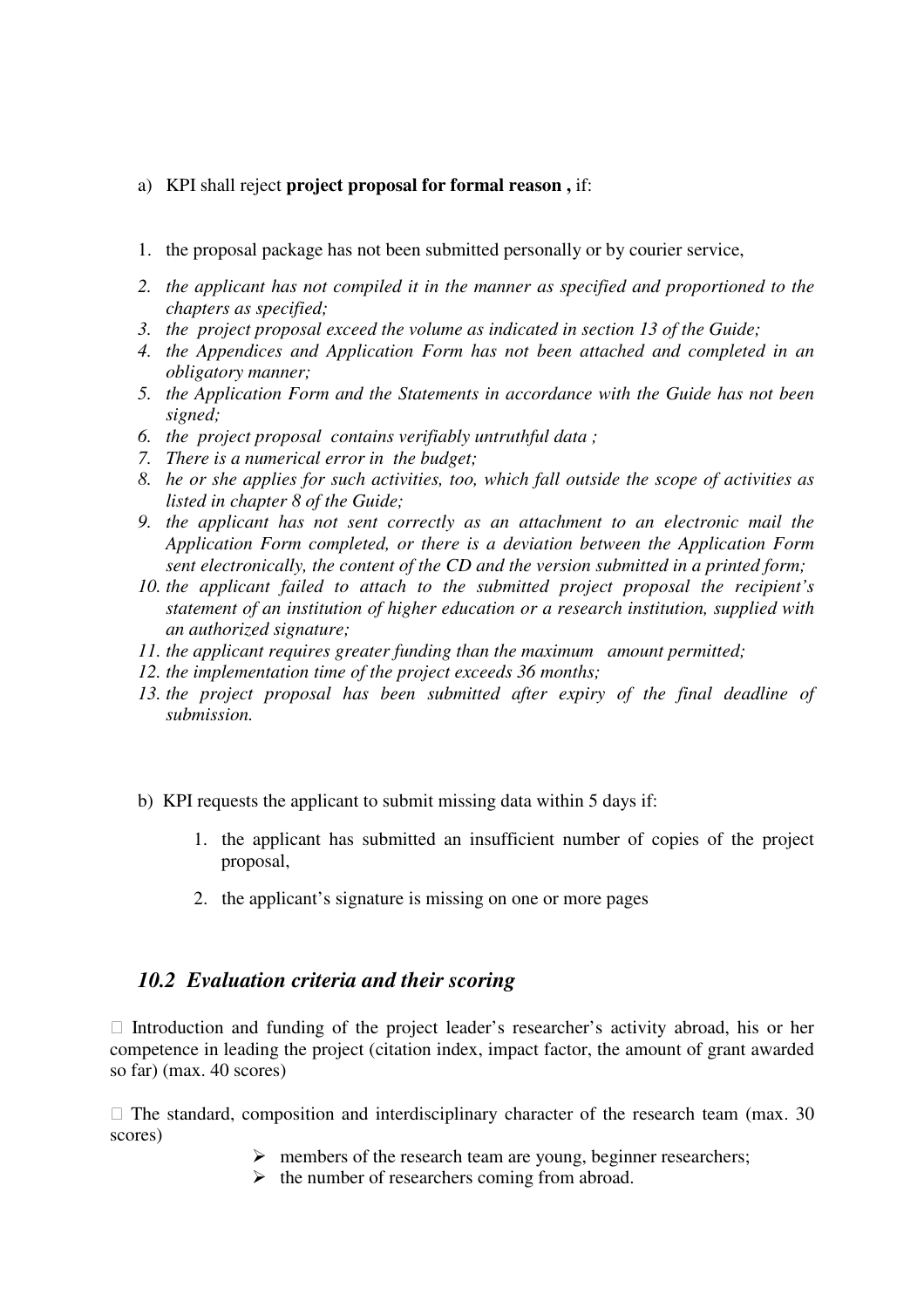#### a) KPI shall reject **project proposal for formal reason ,** if:

- 1. the proposal package has not been submitted personally or by courier service,
- *2. the applicant has not compiled it in the manner as specified and proportioned to the chapters as specified;*
- *3. the project proposal exceed the volume as indicated in section 13 of the Guide;*
- *4. the Appendices and Application Form has not been attached and completed in an obligatory manner;*
- *5. the Application Form and the Statements in accordance with the Guide has not been signed;*
- *6. the project proposal contains verifiably untruthful data ;*
- *7. There is a numerical error in the budget;*
- *8. he or she applies for such activities, too, which fall outside the scope of activities as listed in chapter 8 of the Guide;*
- *9. the applicant has not sent correctly as an attachment to an electronic mail the Application Form completed, or there is a deviation between the Application Form sent electronically, the content of the CD and the version submitted in a printed form;*
- *10. the applicant failed to attach to the submitted project proposal the recipient's statement of an institution of higher education or a research institution, supplied with an authorized signature;*
- *11. the applicant requires greater funding than the maximum amount permitted;*
- *12. the implementation time of the project exceeds 36 months;*
- *13. the project proposal has been submitted after expiry of the final deadline of submission.*
- b) KPI requests the applicant to submit missing data within 5 days if:
	- 1. the applicant has submitted an insufficient number of copies of the project proposal,
	- 2. the applicant's signature is missing on one or more pages

### *10.2 Evaluation criteria and their scoring*

 $\Box$  Introduction and funding of the project leader's researcher's activity abroad, his or her competence in leading the project (citation index, impact factor, the amount of grant awarded so far) (max. 40 scores)

 $\Box$  The standard, composition and interdisciplinary character of the research team (max. 30) scores)

- $\triangleright$  members of the research team are young, beginner researchers;
- $\triangleright$  the number of researchers coming from abroad.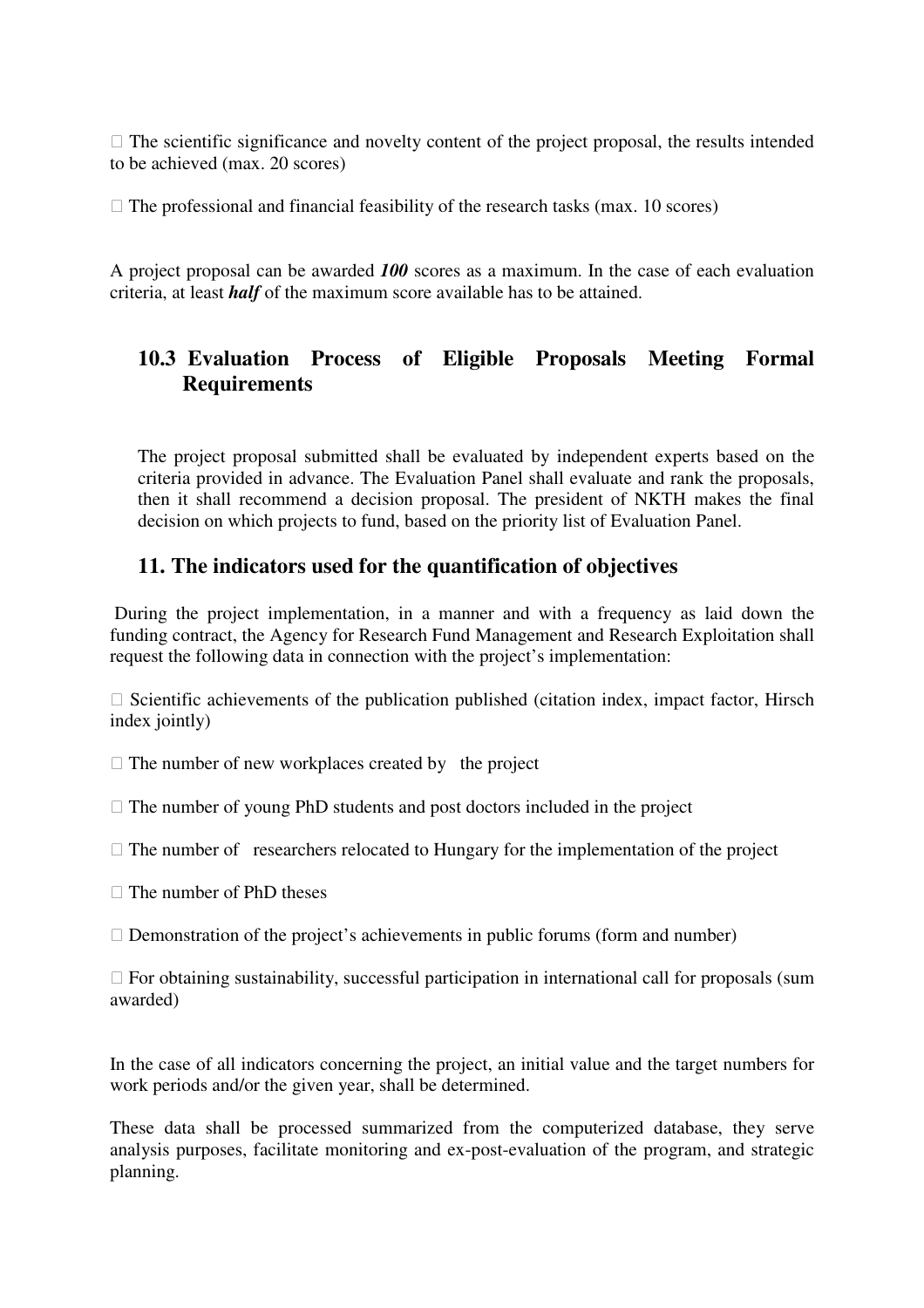$\Box$  The scientific significance and novelty content of the project proposal, the results intended to be achieved (max. 20 scores)

 $\Box$  The professional and financial feasibility of the research tasks (max. 10 scores)

A project proposal can be awarded *100* scores as a maximum. In the case of each evaluation criteria, at least *half* of the maximum score available has to be attained.

# **10.3 Evaluation Process of Eligible Proposals Meeting Formal Requirements**

The project proposal submitted shall be evaluated by independent experts based on the criteria provided in advance. The Evaluation Panel shall evaluate and rank the proposals, then it shall recommend a decision proposal. The president of NKTH makes the final decision on which projects to fund, based on the priority list of Evaluation Panel.

# **11. The indicators used for the quantification of objectives**

 During the project implementation, in a manner and with a frequency as laid down the funding contract, the Agency for Research Fund Management and Research Exploitation shall request the following data in connection with the project's implementation:

 $\Box$  Scientific achievements of the publication published (citation index, impact factor, Hirsch index jointly)

 $\Box$  The number of new workplaces created by the project

 $\Box$  The number of young PhD students and post doctors included in the project

 $\Box$  The number of researchers relocated to Hungary for the implementation of the project

The number of PhD theses

 $\Box$  Demonstration of the project's achievements in public forums (form and number)

 $\Box$  For obtaining sustainability, successful participation in international call for proposals (sum awarded)

In the case of all indicators concerning the project, an initial value and the target numbers for work periods and/or the given year, shall be determined.

These data shall be processed summarized from the computerized database, they serve analysis purposes, facilitate monitoring and ex-post-evaluation of the program, and strategic planning.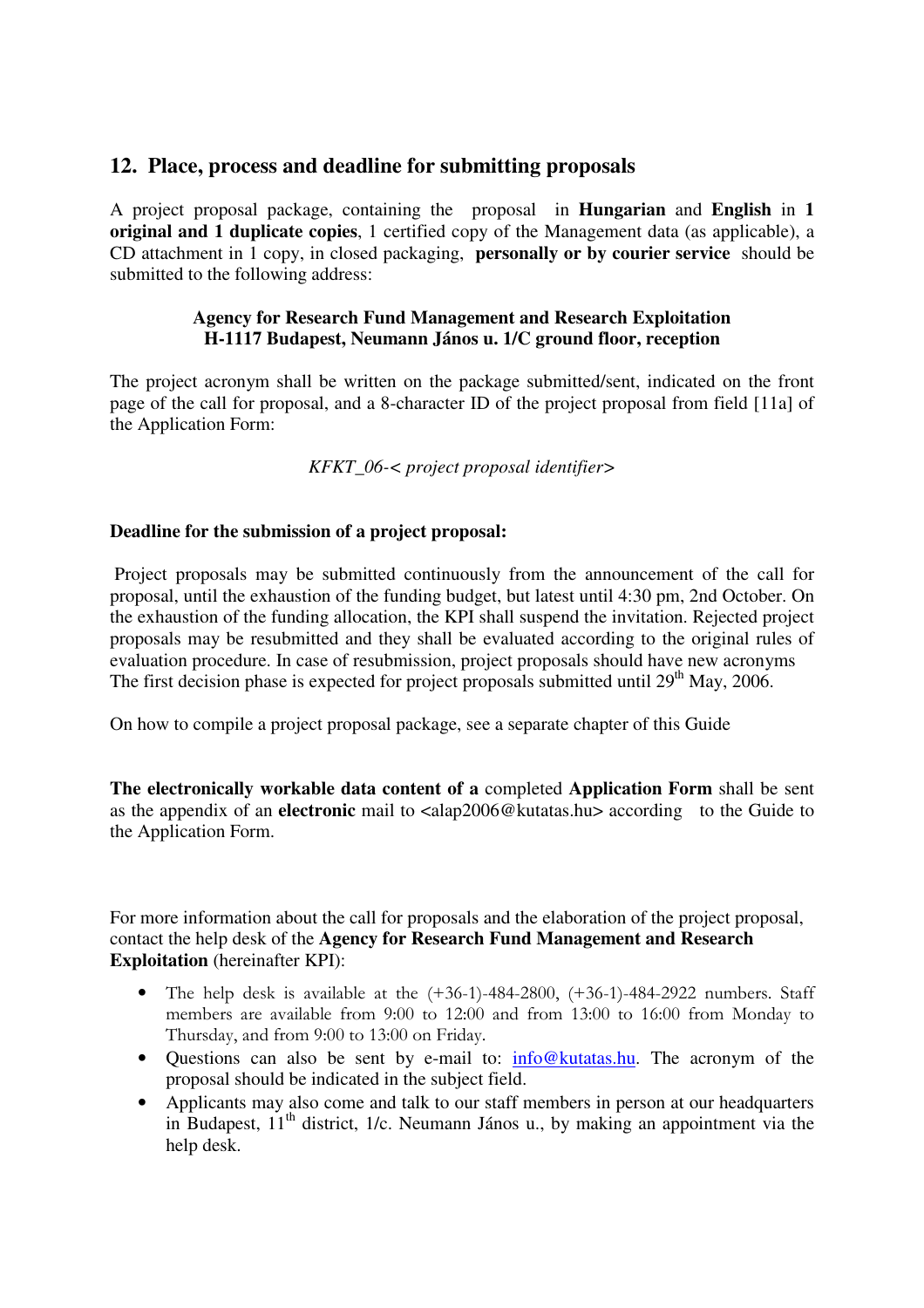### **12. Place, process and deadline for submitting proposals**

A project proposal package, containing the proposal in **Hungarian** and **English** in **1 original and 1 duplicate copies**, 1 certified copy of the Management data (as applicable), a CD attachment in 1 copy, in closed packaging, **personally or by courier service** should be submitted to the following address:

#### **Agency for Research Fund Management and Research Exploitation H-1117 Budapest, Neumann János u. 1/C ground floor, reception**

The project acronym shall be written on the package submitted/sent, indicated on the front page of the call for proposal, and a 8-character ID of the project proposal from field [11a] of the Application Form:

*KFKT\_06-< project proposal identifier>* 

#### **Deadline for the submission of a project proposal:**

 Project proposals may be submitted continuously from the announcement of the call for proposal, until the exhaustion of the funding budget, but latest until 4:30 pm, 2nd October. On the exhaustion of the funding allocation, the KPI shall suspend the invitation. Rejected project proposals may be resubmitted and they shall be evaluated according to the original rules of evaluation procedure. In case of resubmission, project proposals should have new acronyms The first decision phase is expected for project proposals submitted until 29<sup>th</sup> May, 2006.

On how to compile a project proposal package, see a separate chapter of this Guide

**The electronically workable data content of a** completed **Application Form** shall be sent as the appendix of an **electronic** mail to <alap2006@kutatas.hu> according to the Guide to the Application Form.

For more information about the call for proposals and the elaboration of the project proposal, contact the help desk of the **Agency for Research Fund Management and Research Exploitation** (hereinafter KPI):

- The help desk is available at the  $(+36-1)-484-2800$ ,  $(+36-1)-484-2922$  numbers. Staff members are available from 9:00 to 12:00 and from 13:00 to 16:00 from Monday to Thursday, and from 9:00 to 13:00 on Friday.
- Questions can also be sent by e-mail to: info@kutatas.hu. The acronym of the proposal should be indicated in the subject field.
- Applicants may also come and talk to our staff members in person at our headquarters in Budapest,  $11<sup>th</sup>$  district,  $1/c$ . Neumann János u., by making an appointment via the help desk.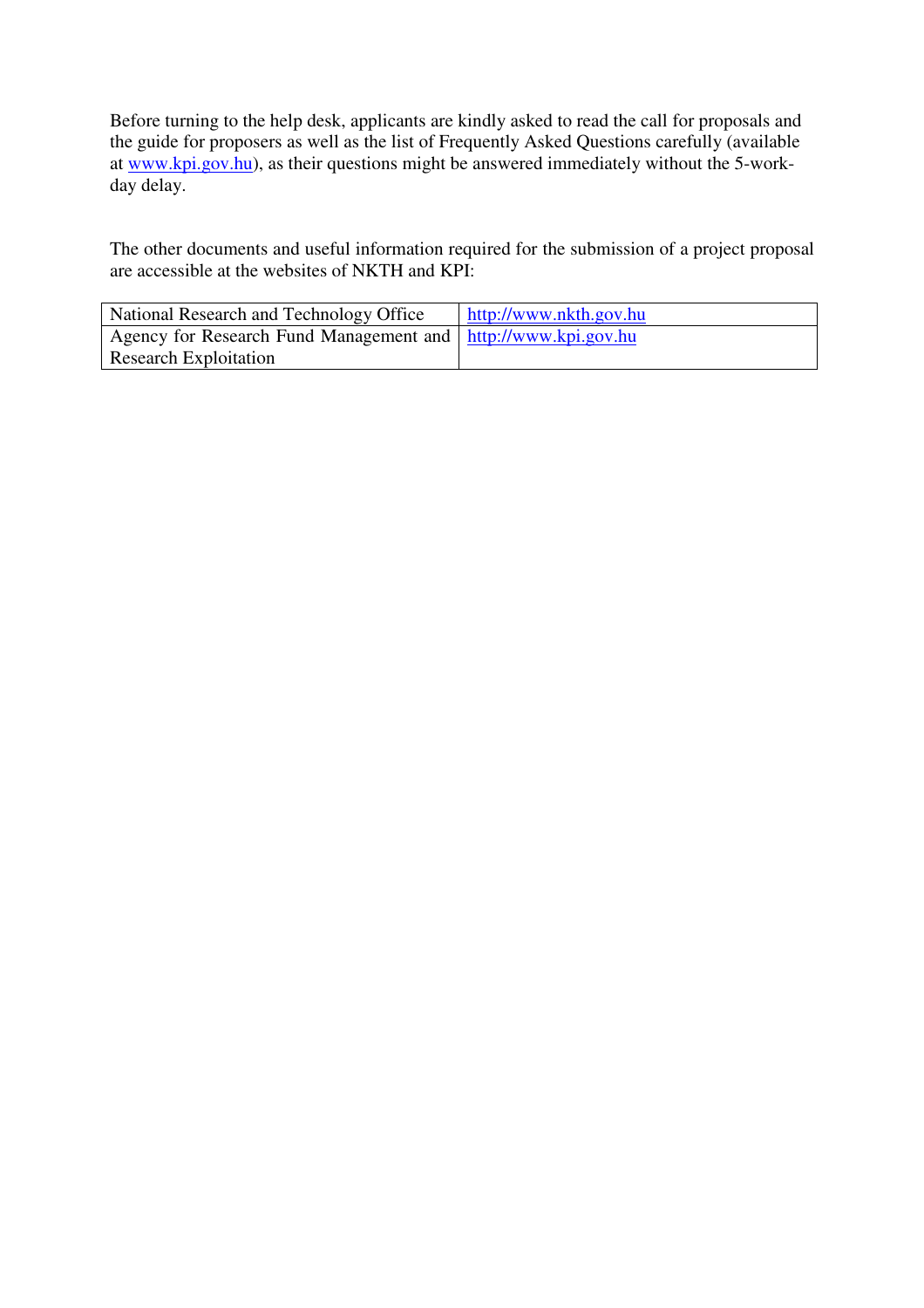Before turning to the help desk, applicants are kindly asked to read the call for proposals and the guide for proposers as well as the list of Frequently Asked Questions carefully (available at www.kpi.gov.hu), as their questions might be answered immediately without the 5-workday delay.

The other documents and useful information required for the submission of a project proposal are accessible at the websites of NKTH and KPI:

| National Research and Technology Office                         | http://www.nkth.gov.hu |
|-----------------------------------------------------------------|------------------------|
| Agency for Research Fund Management and   http://www.kpi.gov.hu |                        |
| <b>Research Exploitation</b>                                    |                        |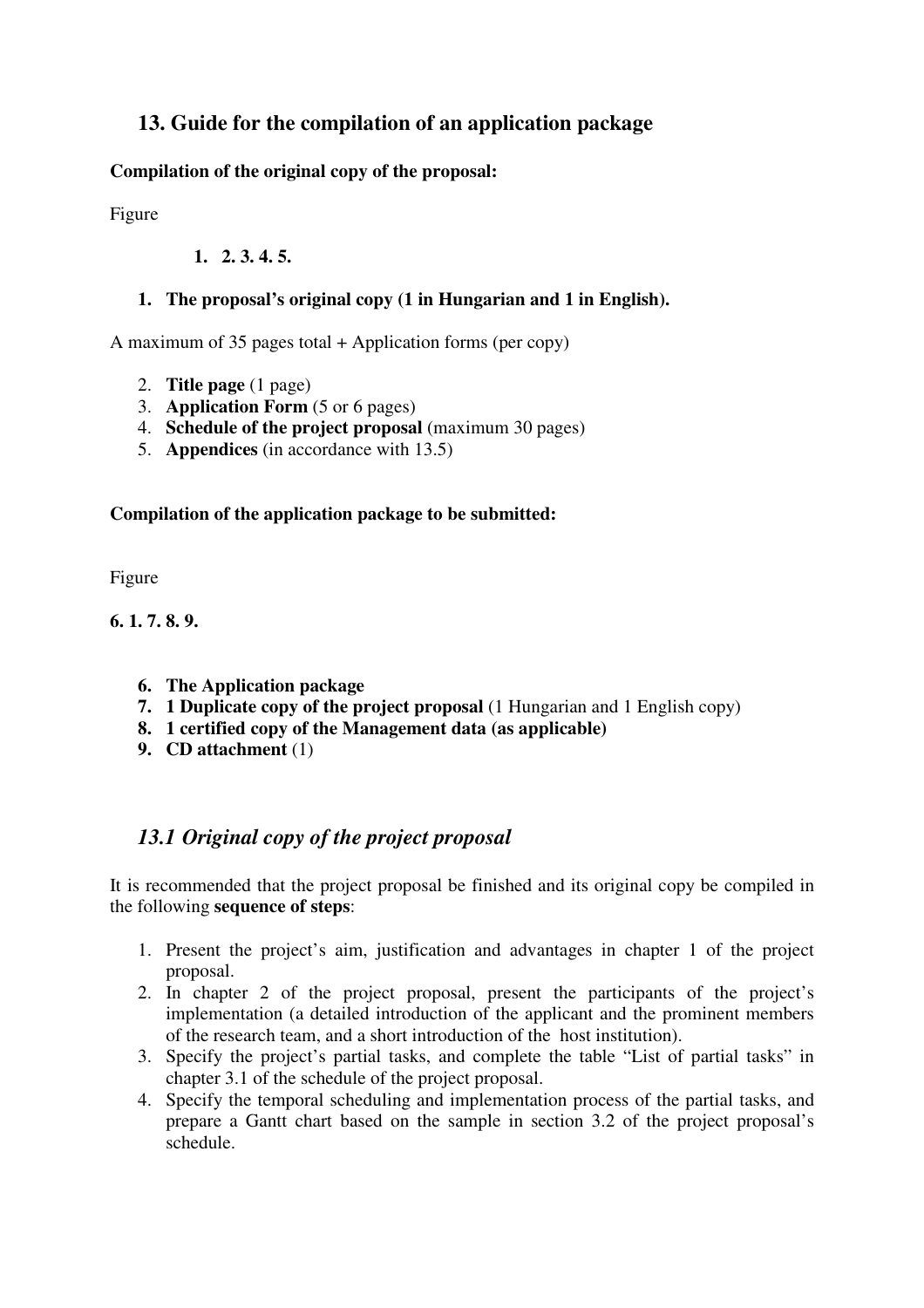# **13. Guide for the compilation of an application package**

**Compilation of the original copy of the proposal:** 

Figure

### **1. 2. 3. 4. 5.**

### **1. The proposal's original copy (1 in Hungarian and 1 in English).**

A maximum of 35 pages total + Application forms (per copy)

- 2. **Title page** (1 page)
- 3. **Application Form** (5 or 6 pages)
- 4. **Schedule of the project proposal** (maximum 30 pages)
- 5. **Appendices** (in accordance with 13.5)

### **Compilation of the application package to be submitted:**

Figure

**6. 1. 7. 8. 9.** 

- **6. The Application package**
- **7. 1 Duplicate copy of the project proposal** (1 Hungarian and 1 English copy)
- **8. 1 certified copy of the Management data (as applicable)**
- **9. CD attachment** (1)

# *13.1 Original copy of the project proposal*

It is recommended that the project proposal be finished and its original copy be compiled in the following **sequence of steps**:

- 1. Present the project's aim, justification and advantages in chapter 1 of the project proposal.
- 2. In chapter 2 of the project proposal, present the participants of the project's implementation (a detailed introduction of the applicant and the prominent members of the research team, and a short introduction of the host institution).
- 3. Specify the project's partial tasks, and complete the table "List of partial tasks" in chapter 3.1 of the schedule of the project proposal.
- 4. Specify the temporal scheduling and implementation process of the partial tasks, and prepare a Gantt chart based on the sample in section 3.2 of the project proposal's schedule.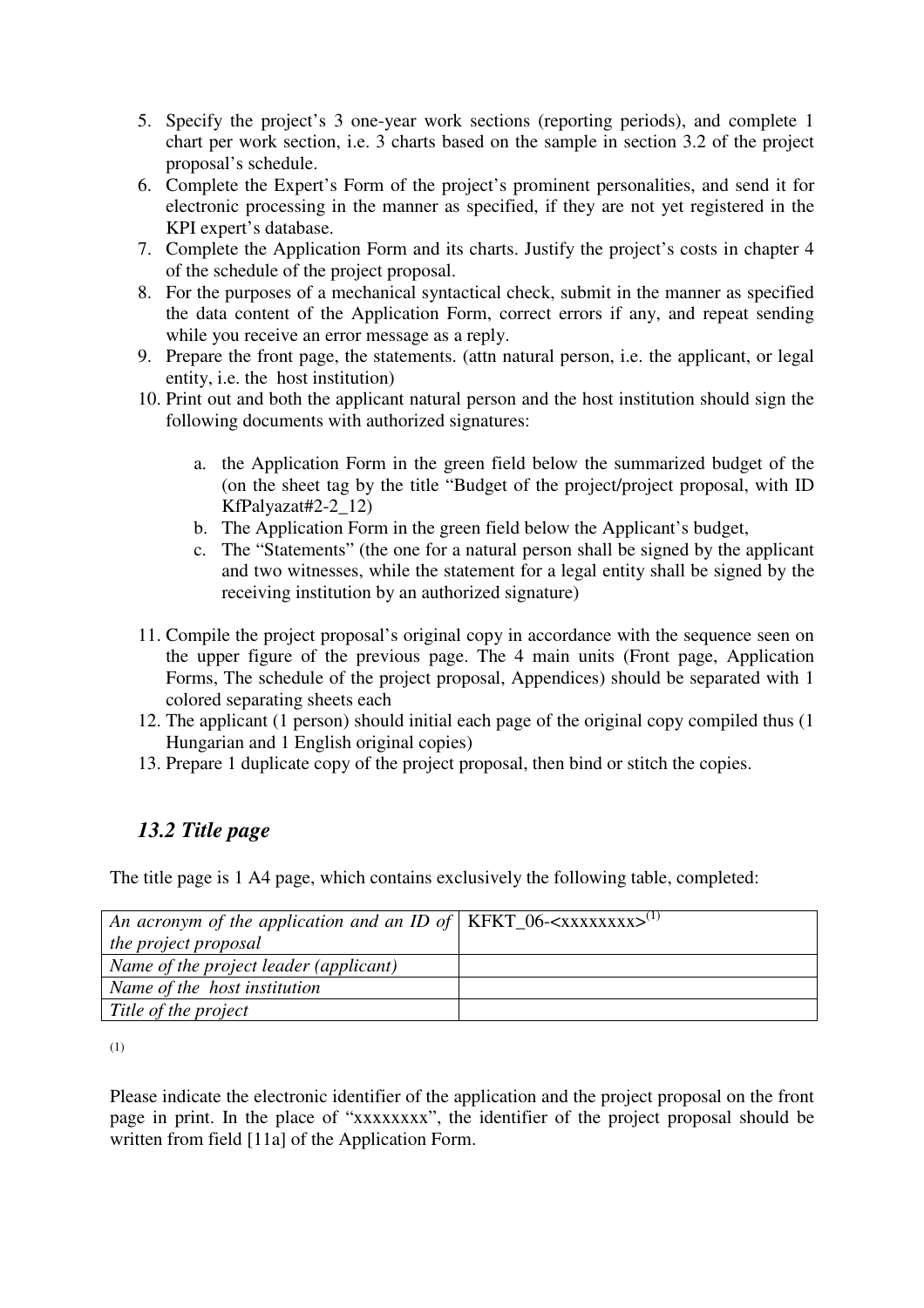- 5. Specify the project's 3 one-year work sections (reporting periods), and complete 1 chart per work section, i.e. 3 charts based on the sample in section 3.2 of the project proposal's schedule.
- 6. Complete the Expert's Form of the project's prominent personalities, and send it for electronic processing in the manner as specified, if they are not yet registered in the KPI expert's database.
- 7. Complete the Application Form and its charts. Justify the project's costs in chapter 4 of the schedule of the project proposal.
- 8. For the purposes of a mechanical syntactical check, submit in the manner as specified the data content of the Application Form, correct errors if any, and repeat sending while you receive an error message as a reply.
- 9. Prepare the front page, the statements. (attn natural person, i.e. the applicant, or legal entity, i.e. the host institution)
- 10. Print out and both the applicant natural person and the host institution should sign the following documents with authorized signatures:
	- a. the Application Form in the green field below the summarized budget of the (on the sheet tag by the title "Budget of the project/project proposal, with ID KfPalyazat#2-2\_12)
	- b. The Application Form in the green field below the Applicant's budget,
	- c. The "Statements" (the one for a natural person shall be signed by the applicant and two witnesses, while the statement for a legal entity shall be signed by the receiving institution by an authorized signature)
- 11. Compile the project proposal's original copy in accordance with the sequence seen on the upper figure of the previous page. The 4 main units (Front page, Application Forms, The schedule of the project proposal, Appendices) should be separated with 1 colored separating sheets each
- 12. The applicant (1 person) should initial each page of the original copy compiled thus (1 Hungarian and 1 English original copies)
- 13. Prepare 1 duplicate copy of the project proposal, then bind or stitch the copies.

# *13.2 Title page*

The title page is 1 A4 page, which contains exclusively the following table, completed:

| An acronym of the application and an ID of   KFKT_06- $\langle$ XXXXXXXX $\rangle$ <sup>(1)</sup> |  |
|---------------------------------------------------------------------------------------------------|--|
| the project proposal                                                                              |  |
| Name of the project leader (applicant)                                                            |  |
| Name of the host institution                                                                      |  |
| Title of the project                                                                              |  |

<sup>(1)</sup> 

Please indicate the electronic identifier of the application and the project proposal on the front page in print. In the place of "xxxxxxxx", the identifier of the project proposal should be written from field [11a] of the Application Form.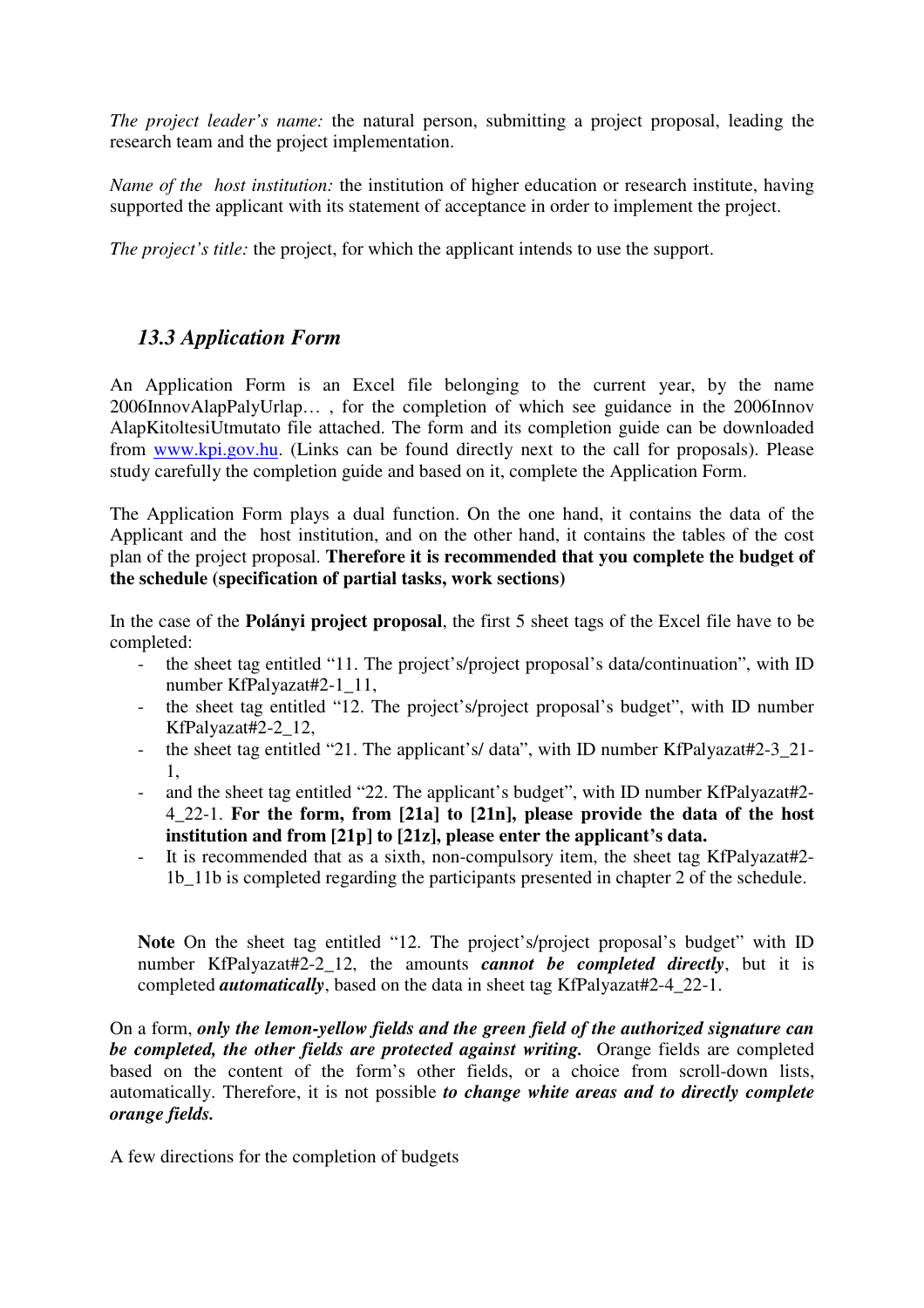*The project leader's name:* the natural person, submitting a project proposal, leading the research team and the project implementation.

*Name of the host institution:* the institution of higher education or research institute, having supported the applicant with its statement of acceptance in order to implement the project.

*The project's title:* the project, for which the applicant intends to use the support.

### *13.3 Application Form*

An Application Form is an Excel file belonging to the current year, by the name 2006InnovAlapPalyUrlap… , for the completion of which see guidance in the 2006Innov AlapKitoltesiUtmutato file attached. The form and its completion guide can be downloaded from www.kpi.gov.hu. (Links can be found directly next to the call for proposals). Please study carefully the completion guide and based on it, complete the Application Form.

The Application Form plays a dual function. On the one hand, it contains the data of the Applicant and the host institution, and on the other hand, it contains the tables of the cost plan of the project proposal. **Therefore it is recommended that you complete the budget of the schedule (specification of partial tasks, work sections)** 

In the case of the **Polányi project proposal**, the first 5 sheet tags of the Excel file have to be completed:

- the sheet tag entitled "11. The project's/project proposal's data/continuation", with ID number KfPalyazat#2-1\_11,
- the sheet tag entitled "12. The project's/project proposal's budget", with ID number KfPalyazat#2-2\_12,
- the sheet tag entitled "21. The applicant's/ data", with ID number KfPalyazat#2-3\_21-1,
- and the sheet tag entitled "22. The applicant's budget", with ID number KfPalyazat#2-4\_22-1. **For the form, from [21a] to [21n], please provide the data of the host institution and from [21p] to [21z], please enter the applicant's data.**
- It is recommended that as a sixth, non-compulsory item, the sheet tag KfPalyazat#2- 1b\_11b is completed regarding the participants presented in chapter 2 of the schedule.

**Note** On the sheet tag entitled "12. The project's/project proposal's budget" with ID number KfPalyazat#2-2\_12, the amounts *cannot be completed directly*, but it is completed *automatically*, based on the data in sheet tag KfPalyazat#2-4\_22-1.

On a form, *only the lemon-yellow fields and the green field of the authorized signature can be completed, the other fields are protected against writing.* Orange fields are completed based on the content of the form's other fields, or a choice from scroll-down lists, automatically. Therefore, it is not possible *to change white areas and to directly complete orange fields.* 

A few directions for the completion of budgets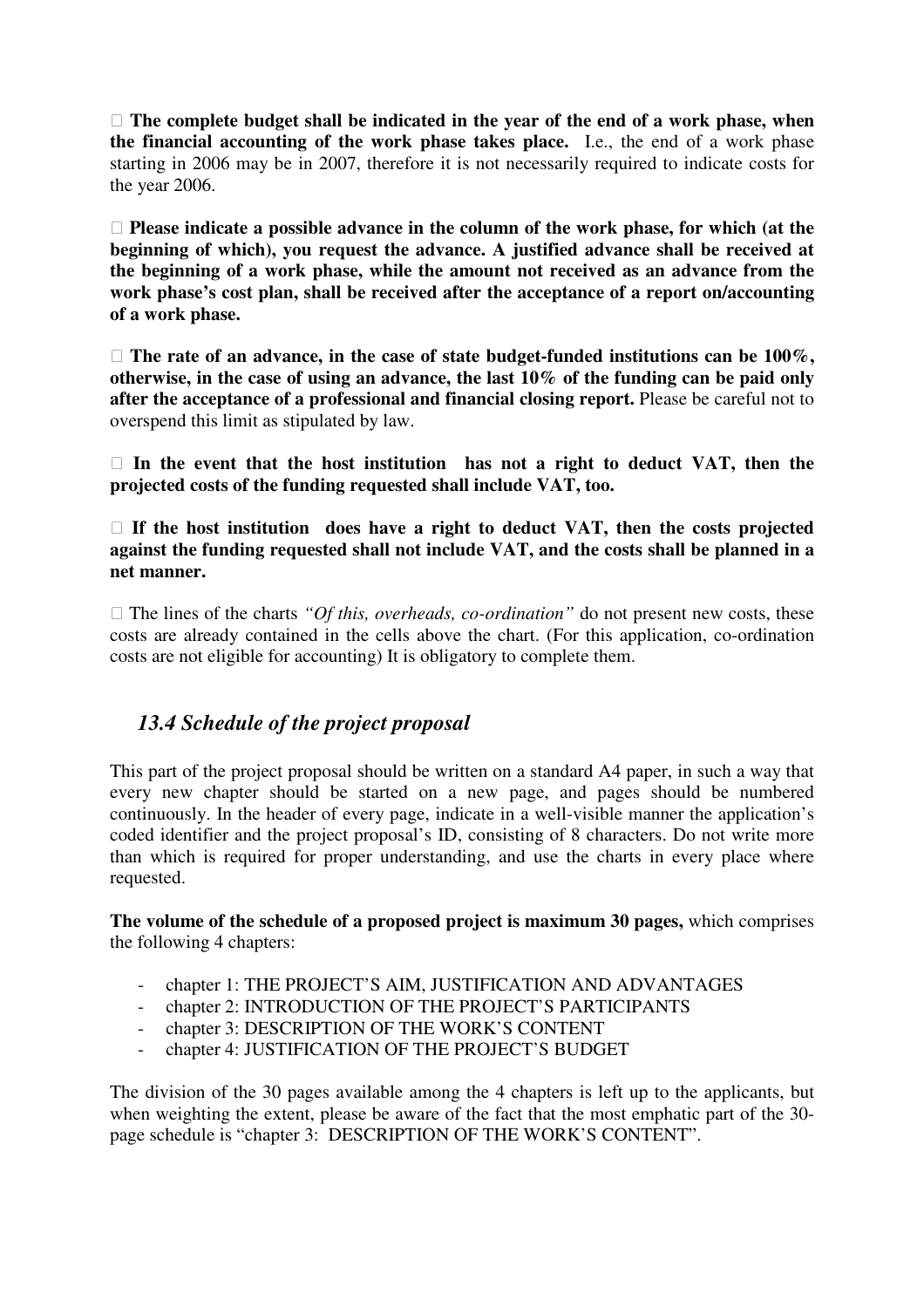**The complete budget shall be indicated in the year of the end of a work phase, when the financial accounting of the work phase takes place.** I.e., the end of a work phase starting in 2006 may be in 2007, therefore it is not necessarily required to indicate costs for the year 2006.

 **Please indicate a possible advance in the column of the work phase, for which (at the beginning of which), you request the advance. A justified advance shall be received at the beginning of a work phase, while the amount not received as an advance from the work phase's cost plan, shall be received after the acceptance of a report on/accounting of a work phase.** 

□ The rate of an advance, in the case of state budget-funded institutions can be 100%, **otherwise, in the case of using an advance, the last 10% of the funding can be paid only after the acceptance of a professional and financial closing report.** Please be careful not to overspend this limit as stipulated by law.

 **In the event that the host institution has not a right to deduct VAT, then the projected costs of the funding requested shall include VAT, too.** 

 **If the host institution does have a right to deduct VAT, then the costs projected against the funding requested shall not include VAT, and the costs shall be planned in a net manner.** 

 $\Box$  The lines of the charts *"Of this, overheads, co-ordination"* do not present new costs, these costs are already contained in the cells above the chart. (For this application, co-ordination costs are not eligible for accounting) It is obligatory to complete them.

### *13.4 Schedule of the project proposal*

This part of the project proposal should be written on a standard A4 paper, in such a way that every new chapter should be started on a new page, and pages should be numbered continuously. In the header of every page, indicate in a well-visible manner the application's coded identifier and the project proposal's ID, consisting of 8 characters. Do not write more than which is required for proper understanding, and use the charts in every place where requested.

**The volume of the schedule of a proposed project is maximum 30 pages,** which comprises the following 4 chapters:

- chapter 1: THE PROJECT'S AIM, JUSTIFICATION AND ADVANTAGES
- chapter 2: INTRODUCTION OF THE PROJECT'S PARTICIPANTS
- chapter 3: DESCRIPTION OF THE WORK'S CONTENT
- chapter 4: JUSTIFICATION OF THE PROJECT'S BUDGET

The division of the 30 pages available among the 4 chapters is left up to the applicants, but when weighting the extent, please be aware of the fact that the most emphatic part of the 30 page schedule is "chapter 3: DESCRIPTION OF THE WORK'S CONTENT".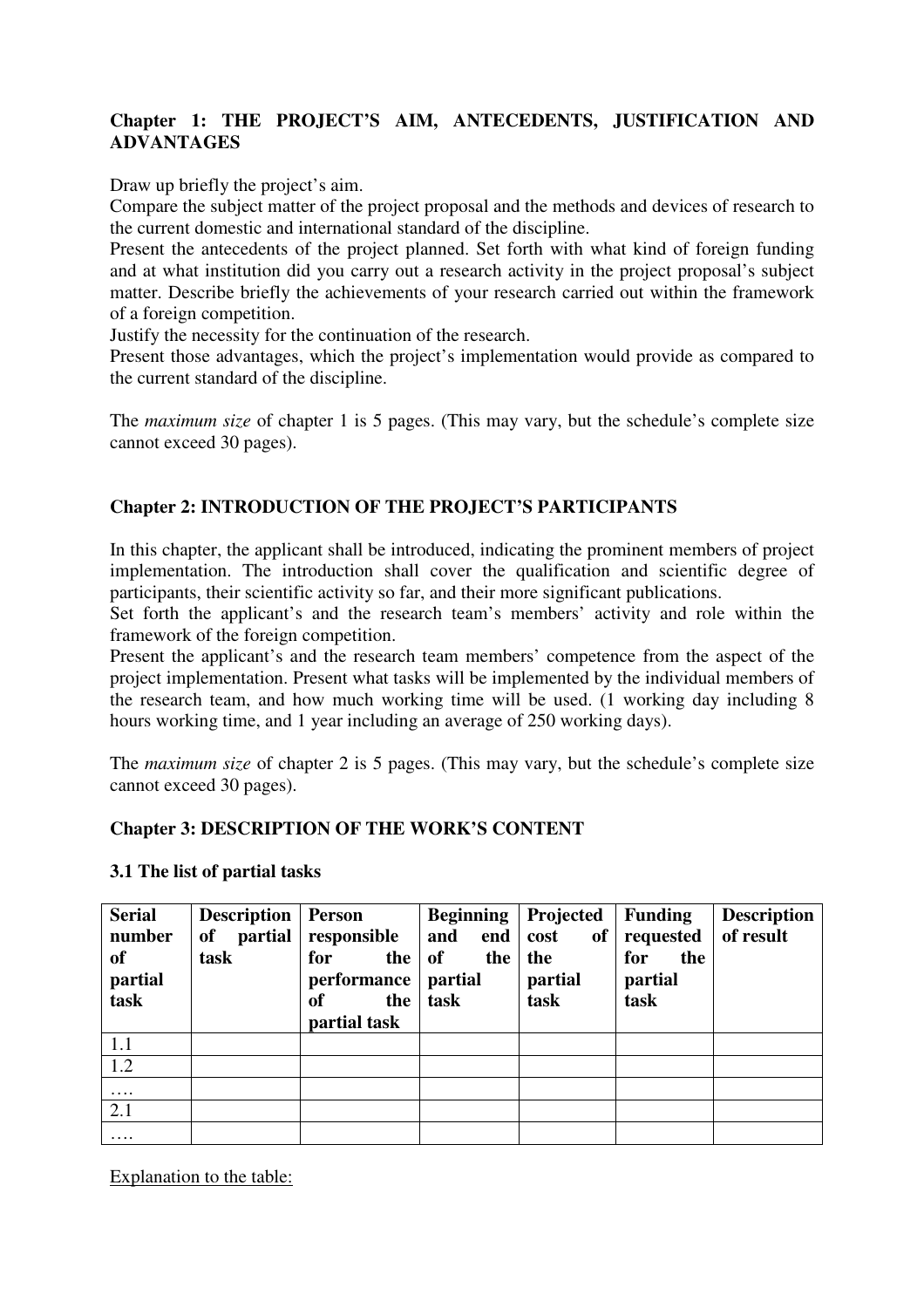### **Chapter 1: THE PROJECT'S AIM, ANTECEDENTS, JUSTIFICATION AND ADVANTAGES**

Draw up briefly the project's aim.

Compare the subject matter of the project proposal and the methods and devices of research to the current domestic and international standard of the discipline.

Present the antecedents of the project planned. Set forth with what kind of foreign funding and at what institution did you carry out a research activity in the project proposal's subject matter. Describe briefly the achievements of your research carried out within the framework of a foreign competition.

Justify the necessity for the continuation of the research.

Present those advantages, which the project's implementation would provide as compared to the current standard of the discipline.

The *maximum size* of chapter 1 is 5 pages. (This may vary, but the schedule's complete size cannot exceed 30 pages).

### **Chapter 2: INTRODUCTION OF THE PROJECT'S PARTICIPANTS**

In this chapter, the applicant shall be introduced, indicating the prominent members of project implementation. The introduction shall cover the qualification and scientific degree of participants, their scientific activity so far, and their more significant publications.

Set forth the applicant's and the research team's members' activity and role within the framework of the foreign competition.

Present the applicant's and the research team members' competence from the aspect of the project implementation. Present what tasks will be implemented by the individual members of the research team, and how much working time will be used. (1 working day including 8 hours working time, and 1 year including an average of 250 working days).

The *maximum size* of chapter 2 is 5 pages. (This may vary, but the schedule's complete size cannot exceed 30 pages).

#### **Chapter 3: DESCRIPTION OF THE WORK'S CONTENT**

#### **3.1 The list of partial tasks**

| <b>Serial</b><br>number | <b>Description</b><br><i>partial</i><br>of | <b>Person</b><br>responsible         | <b>Beginning</b><br>and<br>end | Projected<br>of<br>cost | <b>Funding</b><br>requested | <b>Description</b><br>of result |
|-------------------------|--------------------------------------------|--------------------------------------|--------------------------------|-------------------------|-----------------------------|---------------------------------|
| <b>of</b><br>partial    | task                                       | for<br>the<br>performance            | <b>of</b><br>the<br>partial    | the<br>partial          | for<br>the<br>partial       |                                 |
| task                    |                                            | <sub>of</sub><br>the<br>partial task | task                           | task                    | task                        |                                 |
| 1.1                     |                                            |                                      |                                |                         |                             |                                 |
| 1.2                     |                                            |                                      |                                |                         |                             |                                 |
| $\cdots$                |                                            |                                      |                                |                         |                             |                                 |
| 2.1                     |                                            |                                      |                                |                         |                             |                                 |
| $\cdots$                |                                            |                                      |                                |                         |                             |                                 |

Explanation to the table: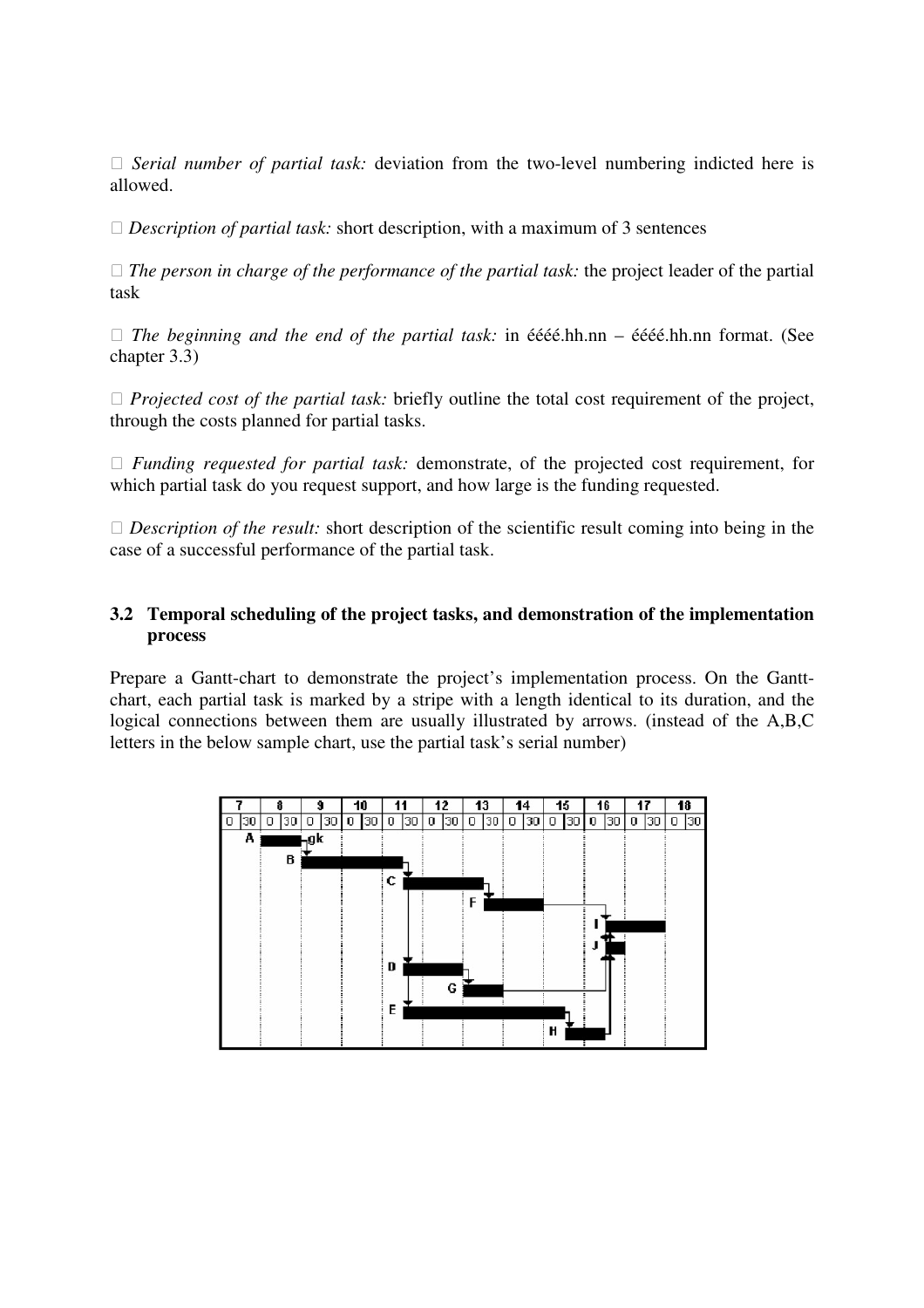*Serial number of partial task:* deviation from the two-level numbering indicted here is allowed.

□ *Description of partial task:* short description, with a maximum of 3 sentences

 *The person in charge of the performance of the partial task:* the project leader of the partial task

 *The beginning and the end of the partial task:* in éééé.hh.nn – éééé.hh.nn format. (See chapter 3.3)

 *Projected cost of the partial task:* briefly outline the total cost requirement of the project, through the costs planned for partial tasks.

 *Funding requested for partial task:* demonstrate, of the projected cost requirement, for which partial task do you request support, and how large is the funding requested.

□ *Description of the result:* short description of the scientific result coming into being in the case of a successful performance of the partial task.

#### **3.2 Temporal scheduling of the project tasks, and demonstration of the implementation process**

Prepare a Gantt-chart to demonstrate the project's implementation process. On the Ganttchart, each partial task is marked by a stripe with a length identical to its duration, and the logical connections between them are usually illustrated by arrows. (instead of the A,B,C letters in the below sample chart, use the partial task's serial number)

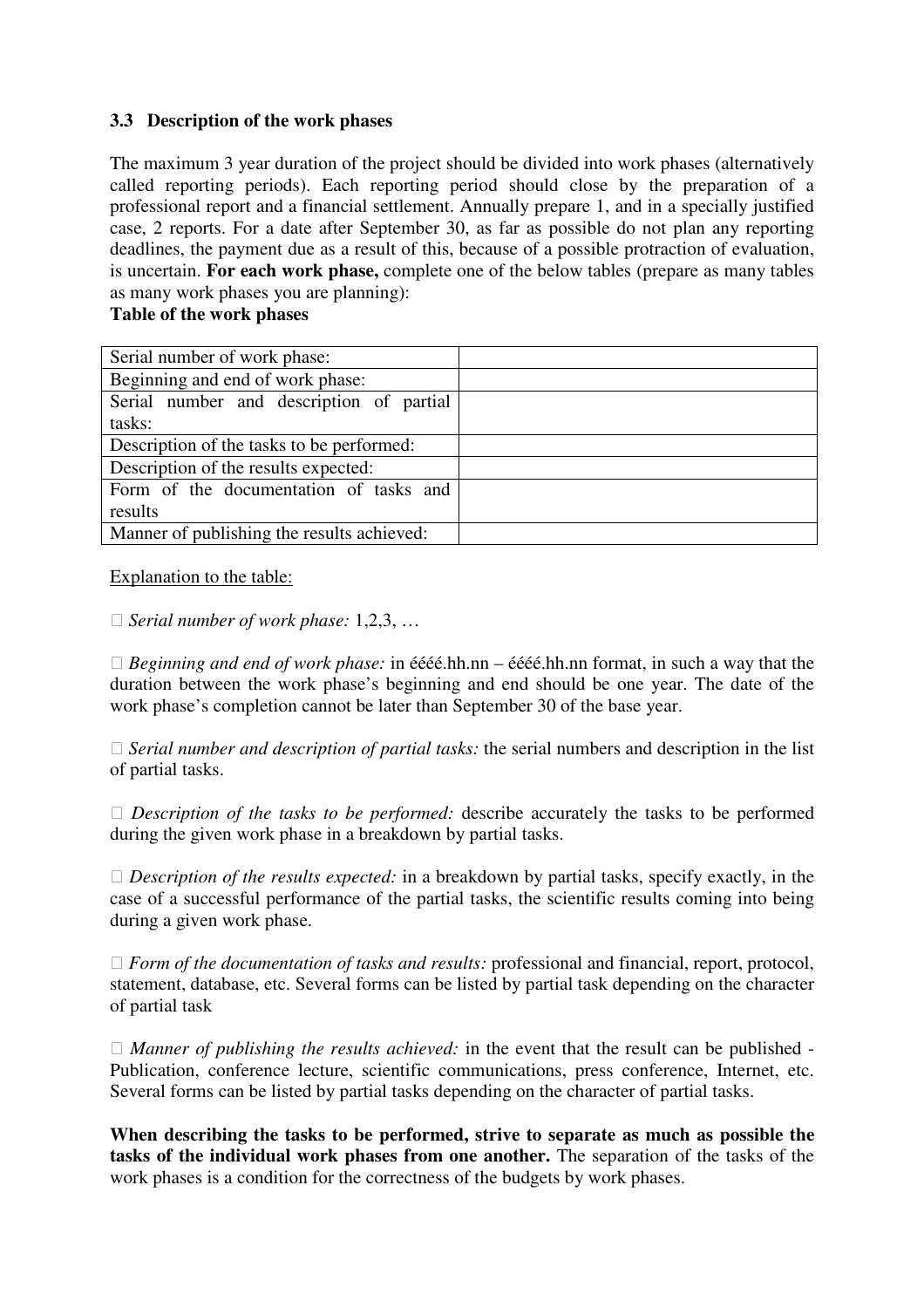#### **3.3 Description of the work phases**

The maximum 3 year duration of the project should be divided into work phases (alternatively called reporting periods). Each reporting period should close by the preparation of a professional report and a financial settlement. Annually prepare 1, and in a specially justified case, 2 reports. For a date after September 30, as far as possible do not plan any reporting deadlines, the payment due as a result of this, because of a possible protraction of evaluation, is uncertain. **For each work phase,** complete one of the below tables (prepare as many tables as many work phases you are planning):

#### **Table of the work phases**

| Serial number of work phase:               |  |
|--------------------------------------------|--|
| Beginning and end of work phase:           |  |
| Serial number and description of partial   |  |
| tasks:                                     |  |
| Description of the tasks to be performed:  |  |
| Description of the results expected:       |  |
| Form of the documentation of tasks and     |  |
| results                                    |  |
| Manner of publishing the results achieved: |  |

#### Explanation to the table:

#### *Serial number of work phase:* 1,2,3, …

 *Beginning and end of work phase:* in éééé.hh.nn – éééé.hh.nn format, in such a way that the duration between the work phase's beginning and end should be one year. The date of the work phase's completion cannot be later than September 30 of the base year.

 *Serial number and description of partial tasks:* the serial numbers and description in the list of partial tasks.

 *Description of the tasks to be performed:* describe accurately the tasks to be performed during the given work phase in a breakdown by partial tasks.

 *Description of the results expected:* in a breakdown by partial tasks, specify exactly, in the case of a successful performance of the partial tasks, the scientific results coming into being during a given work phase.

 *Form of the documentation of tasks and results:* professional and financial, report, protocol, statement, database, etc. Several forms can be listed by partial task depending on the character of partial task

 *Manner of publishing the results achieved:* in the event that the result can be published - Publication, conference lecture, scientific communications, press conference, Internet, etc. Several forms can be listed by partial tasks depending on the character of partial tasks.

**When describing the tasks to be performed, strive to separate as much as possible the tasks of the individual work phases from one another.** The separation of the tasks of the work phases is a condition for the correctness of the budgets by work phases.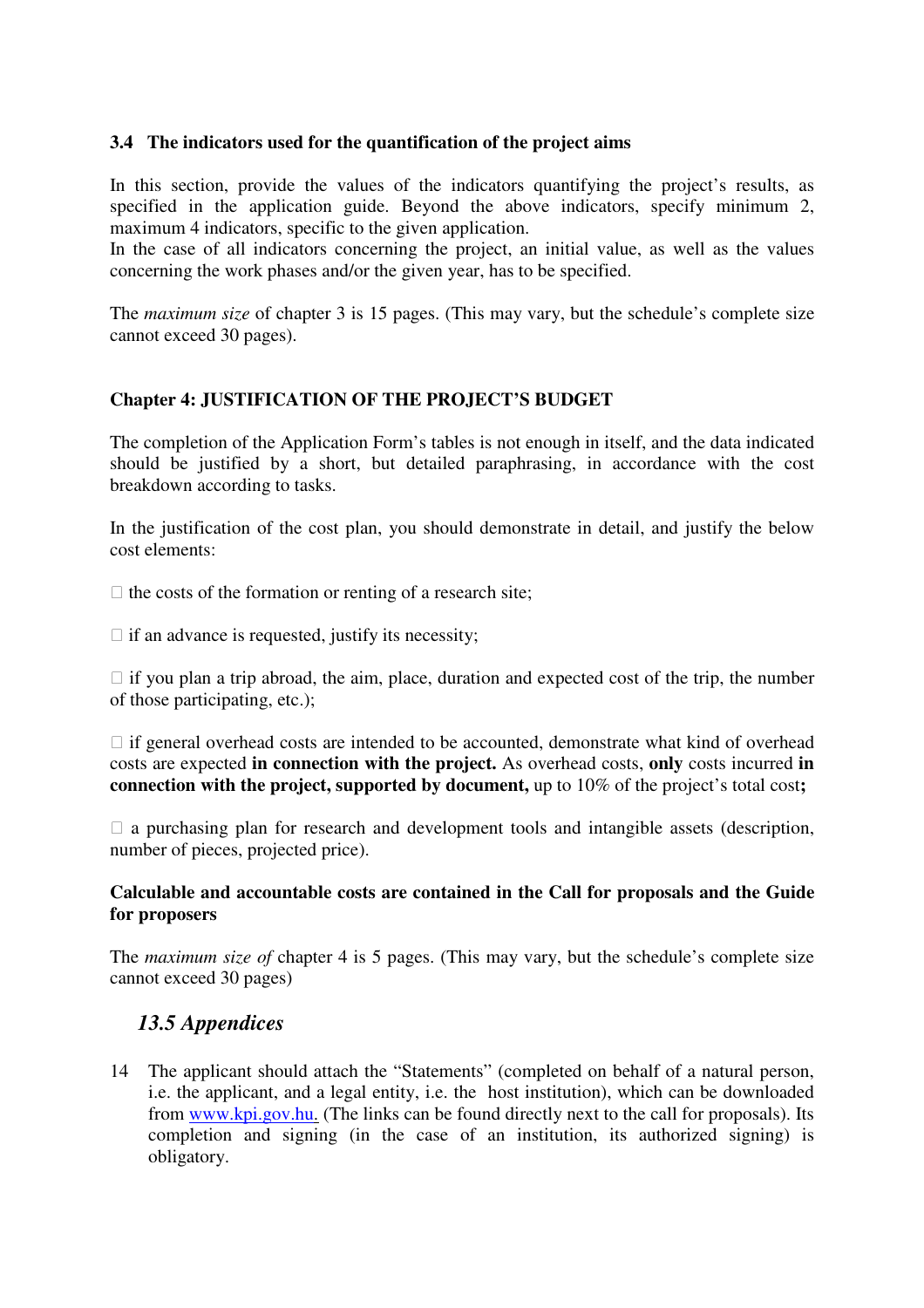#### **3.4 The indicators used for the quantification of the project aims**

In this section, provide the values of the indicators quantifying the project's results, as specified in the application guide. Beyond the above indicators, specify minimum 2, maximum 4 indicators, specific to the given application.

In the case of all indicators concerning the project, an initial value, as well as the values concerning the work phases and/or the given year, has to be specified.

The *maximum size* of chapter 3 is 15 pages. (This may vary, but the schedule's complete size cannot exceed 30 pages).

### **Chapter 4: JUSTIFICATION OF THE PROJECT'S BUDGET**

The completion of the Application Form's tables is not enough in itself, and the data indicated should be justified by a short, but detailed paraphrasing, in accordance with the cost breakdown according to tasks.

In the justification of the cost plan, you should demonstrate in detail, and justify the below cost elements:

 $\Box$  the costs of the formation or renting of a research site;

 $\Box$  if an advance is requested, justify its necessity;

 $\Box$  if you plan a trip abroad, the aim, place, duration and expected cost of the trip, the number of those participating, etc.);

 $\Box$  if general overhead costs are intended to be accounted, demonstrate what kind of overhead costs are expected **in connection with the project.** As overhead costs, **only** costs incurred **in connection with the project, supported by document,** up to 10% of the project's total cost**;** 

 $\Box$  a purchasing plan for research and development tools and intangible assets (description, number of pieces, projected price).

#### **Calculable and accountable costs are contained in the Call for proposals and the Guide for proposers**

The *maximum size of* chapter 4 is 5 pages. (This may vary, but the schedule's complete size cannot exceed 30 pages)

### *13.5 Appendices*

14 The applicant should attach the "Statements" (completed on behalf of a natural person, i.e. the applicant, and a legal entity, i.e. the host institution), which can be downloaded from www.kpi.gov.hu. (The links can be found directly next to the call for proposals). Its completion and signing (in the case of an institution, its authorized signing) is obligatory.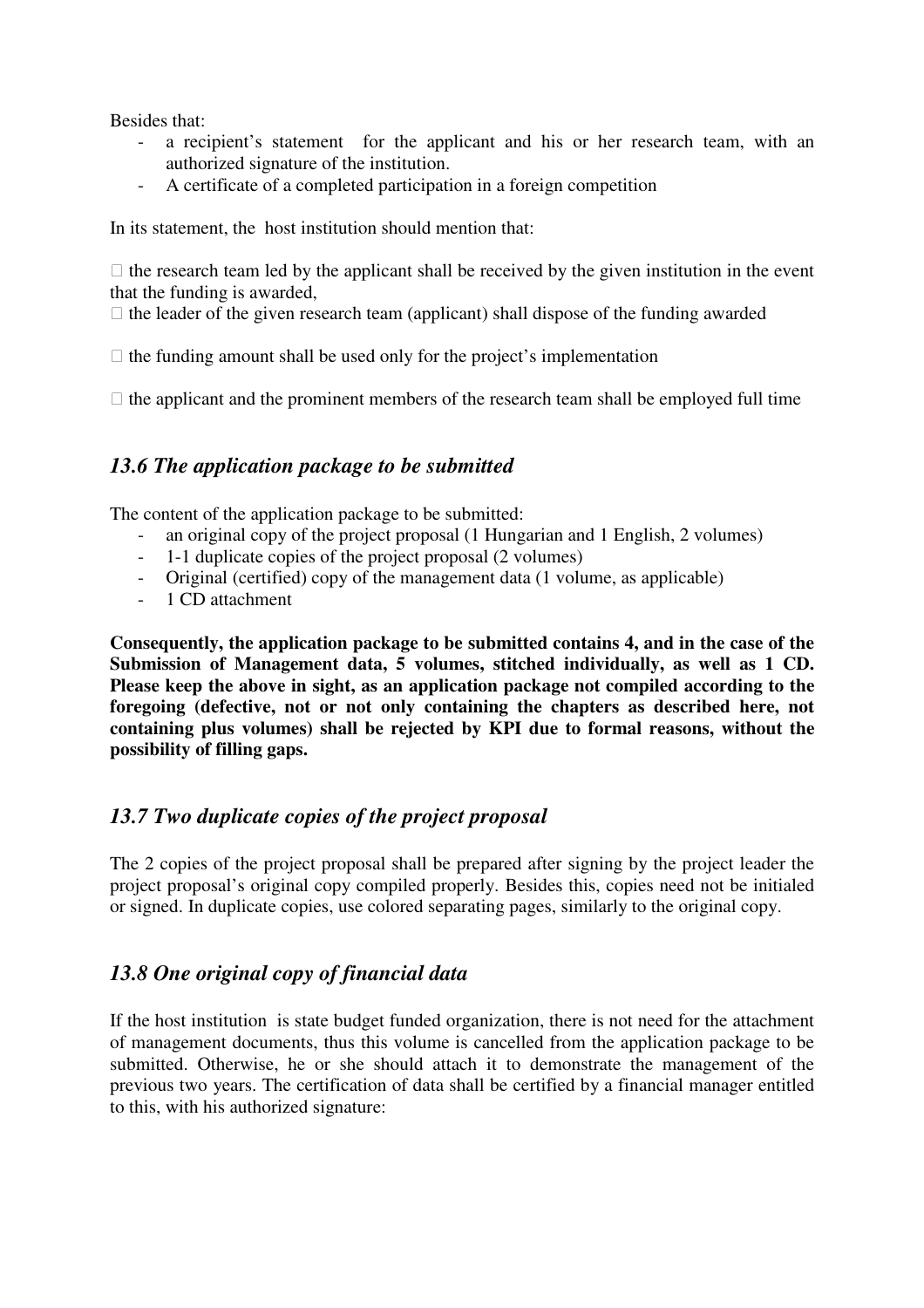Besides that:

- a recipient's statement for the applicant and his or her research team, with an authorized signature of the institution.
- A certificate of a completed participation in a foreign competition

In its statement, the host institution should mention that:

 $\Box$  the research team led by the applicant shall be received by the given institution in the event that the funding is awarded,

 $\Box$  the leader of the given research team (applicant) shall dispose of the funding awarded

 $\Box$  the funding amount shall be used only for the project's implementation

 $\Box$  the applicant and the prominent members of the research team shall be employed full time

### *13.6 The application package to be submitted*

The content of the application package to be submitted:

- an original copy of the project proposal (1 Hungarian and 1 English, 2 volumes)
- 1-1 duplicate copies of the project proposal (2 volumes)
- Original (certified) copy of the management data (1 volume, as applicable)
- 1 CD attachment

**Consequently, the application package to be submitted contains 4, and in the case of the Submission of Management data, 5 volumes, stitched individually, as well as 1 CD. Please keep the above in sight, as an application package not compiled according to the foregoing (defective, not or not only containing the chapters as described here, not containing plus volumes) shall be rejected by KPI due to formal reasons, without the possibility of filling gaps.** 

### *13.7 Two duplicate copies of the project proposal*

The 2 copies of the project proposal shall be prepared after signing by the project leader the project proposal's original copy compiled properly. Besides this, copies need not be initialed or signed. In duplicate copies, use colored separating pages, similarly to the original copy.

### *13.8 One original copy of financial data*

If the host institution is state budget funded organization, there is not need for the attachment of management documents, thus this volume is cancelled from the application package to be submitted. Otherwise, he or she should attach it to demonstrate the management of the previous two years. The certification of data shall be certified by a financial manager entitled to this, with his authorized signature: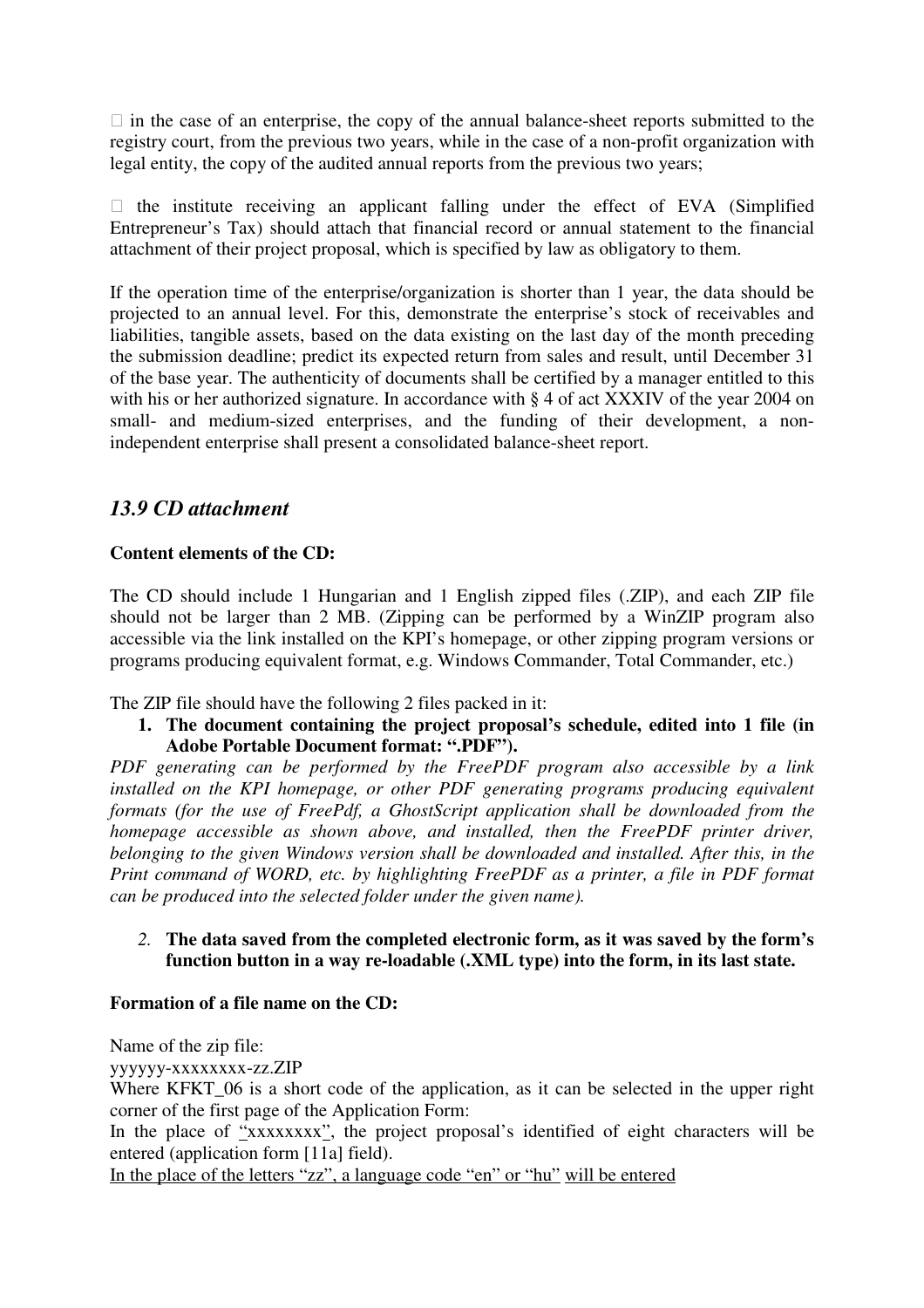$\Box$  in the case of an enterprise, the copy of the annual balance-sheet reports submitted to the registry court, from the previous two years, while in the case of a non-profit organization with legal entity, the copy of the audited annual reports from the previous two years;

 $\Box$  the institute receiving an applicant falling under the effect of EVA (Simplified Entrepreneur's Tax) should attach that financial record or annual statement to the financial attachment of their project proposal, which is specified by law as obligatory to them.

If the operation time of the enterprise/organization is shorter than 1 year, the data should be projected to an annual level. For this, demonstrate the enterprise's stock of receivables and liabilities, tangible assets, based on the data existing on the last day of the month preceding the submission deadline; predict its expected return from sales and result, until December 31 of the base year. The authenticity of documents shall be certified by a manager entitled to this with his or her authorized signature. In accordance with § 4 of act XXXIV of the year 2004 on small- and medium-sized enterprises, and the funding of their development, a nonindependent enterprise shall present a consolidated balance-sheet report.

### *13.9 CD attachment*

#### **Content elements of the CD:**

The CD should include 1 Hungarian and 1 English zipped files (.ZIP), and each ZIP file should not be larger than 2 MB. (Zipping can be performed by a WinZIP program also accessible via the link installed on the KPI's homepage, or other zipping program versions or programs producing equivalent format, e.g. Windows Commander, Total Commander, etc.)

The ZIP file should have the following 2 files packed in it:

**1. The document containing the project proposal's schedule, edited into 1 file (in Adobe Portable Document format: ".PDF").** 

*PDF generating can be performed by the FreePDF program also accessible by a link installed on the KPI homepage, or other PDF generating programs producing equivalent formats (for the use of FreePdf, a GhostScript application shall be downloaded from the homepage accessible as shown above, and installed, then the FreePDF printer driver, belonging to the given Windows version shall be downloaded and installed. After this, in the Print command of WORD, etc. by highlighting FreePDF as a printer, a file in PDF format can be produced into the selected folder under the given name).* 

#### *2.* **The data saved from the completed electronic form, as it was saved by the form's function button in a way re-loadable (.XML type) into the form, in its last state.**

#### **Formation of a file name on the CD:**

Name of the zip file:

yyyyyy-xxxxxxxx-zz.ZIP

Where KFKT\_06 is a short code of the application, as it can be selected in the upper right corner of the first page of the Application Form:

In the place of  $\frac{1}{2}$ xxxxxxxx<sup>2</sup>, the project proposal's identified of eight characters will be entered (application form [11a] field).

In the place of the letters "zz", a language code "en" or "hu" will be entered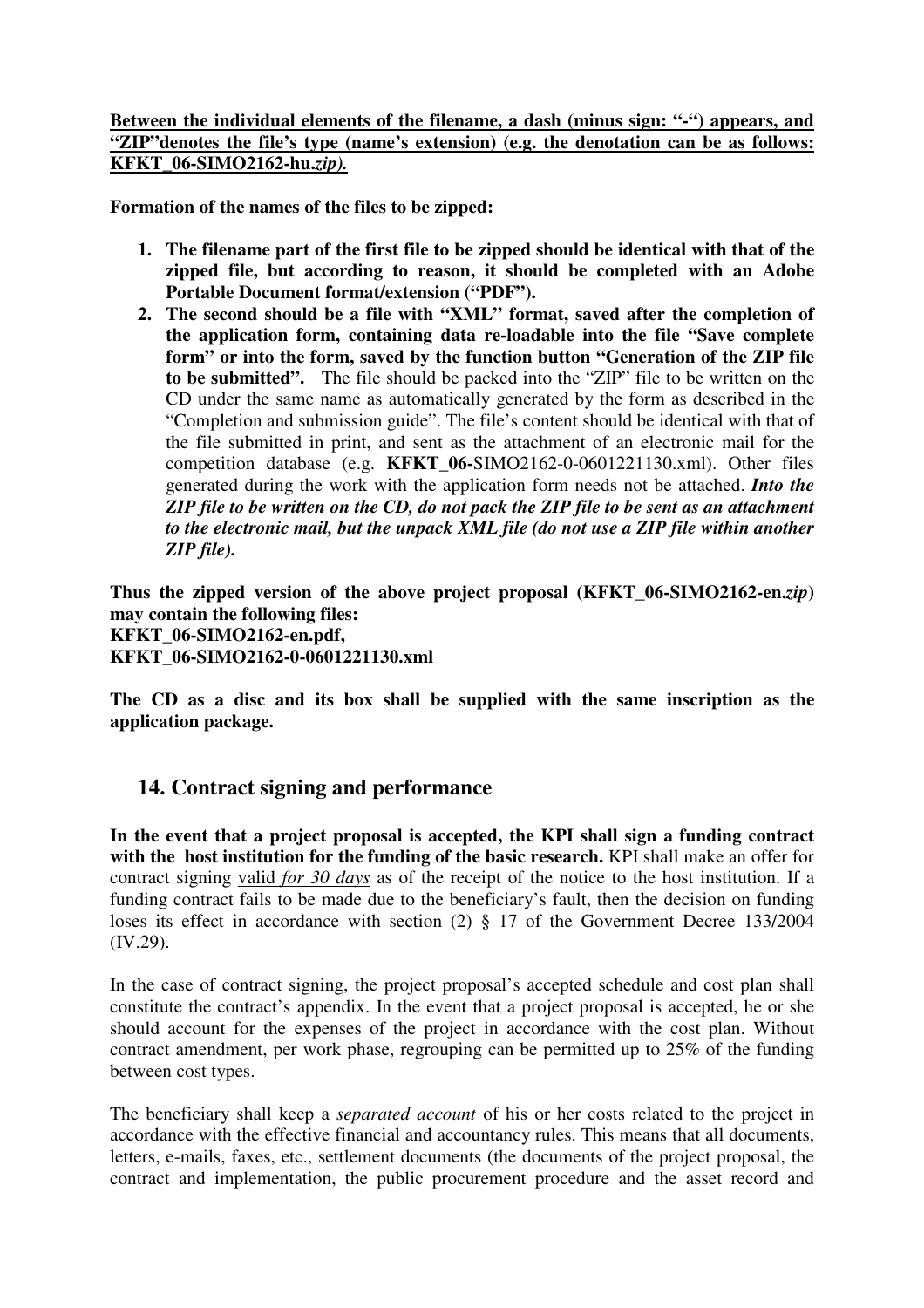#### **Between the individual elements of the filename, a dash (minus sign: "-") appears, and "ZIP"denotes the file's type (name's extension) (e.g. the denotation can be as follows: KFKT\_06-SIMO2162-hu.***zip).*

**Formation of the names of the files to be zipped:** 

- **1. The filename part of the first file to be zipped should be identical with that of the zipped file, but according to reason, it should be completed with an Adobe Portable Document format/extension ("PDF").**
- **2. The second should be a file with "XML" format, saved after the completion of the application form, containing data re-loadable into the file "Save complete form" or into the form, saved by the function button "Generation of the ZIP file to be submitted".** The file should be packed into the "ZIP" file to be written on the CD under the same name as automatically generated by the form as described in the "Completion and submission guide". The file's content should be identical with that of the file submitted in print, and sent as the attachment of an electronic mail for the competition database (e.g. **KFKT\_06-**SIMO2162-0-0601221130.xml). Other files generated during the work with the application form needs not be attached. *Into the ZIP file to be written on the CD, do not pack the ZIP file to be sent as an attachment to the electronic mail, but the unpack XML file (do not use a ZIP file within another ZIP file).*

**Thus the zipped version of the above project proposal (KFKT\_06-SIMO2162-en.***zip***) may contain the following files: KFKT\_06-SIMO2162-en.pdf, KFKT\_06-SIMO2162-0-0601221130.xml** 

**The CD as a disc and its box shall be supplied with the same inscription as the application package.** 

### **14. Contract signing and performance**

**In the event that a project proposal is accepted, the KPI shall sign a funding contract with the host institution for the funding of the basic research.** KPI shall make an offer for contract signing valid *for 30 days* as of the receipt of the notice to the host institution. If a funding contract fails to be made due to the beneficiary's fault, then the decision on funding loses its effect in accordance with section (2) § 17 of the Government Decree 133/2004 (IV.29).

In the case of contract signing, the project proposal's accepted schedule and cost plan shall constitute the contract's appendix. In the event that a project proposal is accepted, he or she should account for the expenses of the project in accordance with the cost plan. Without contract amendment, per work phase, regrouping can be permitted up to 25% of the funding between cost types.

The beneficiary shall keep a *separated account* of his or her costs related to the project in accordance with the effective financial and accountancy rules. This means that all documents, letters, e-mails, faxes, etc., settlement documents (the documents of the project proposal, the contract and implementation, the public procurement procedure and the asset record and